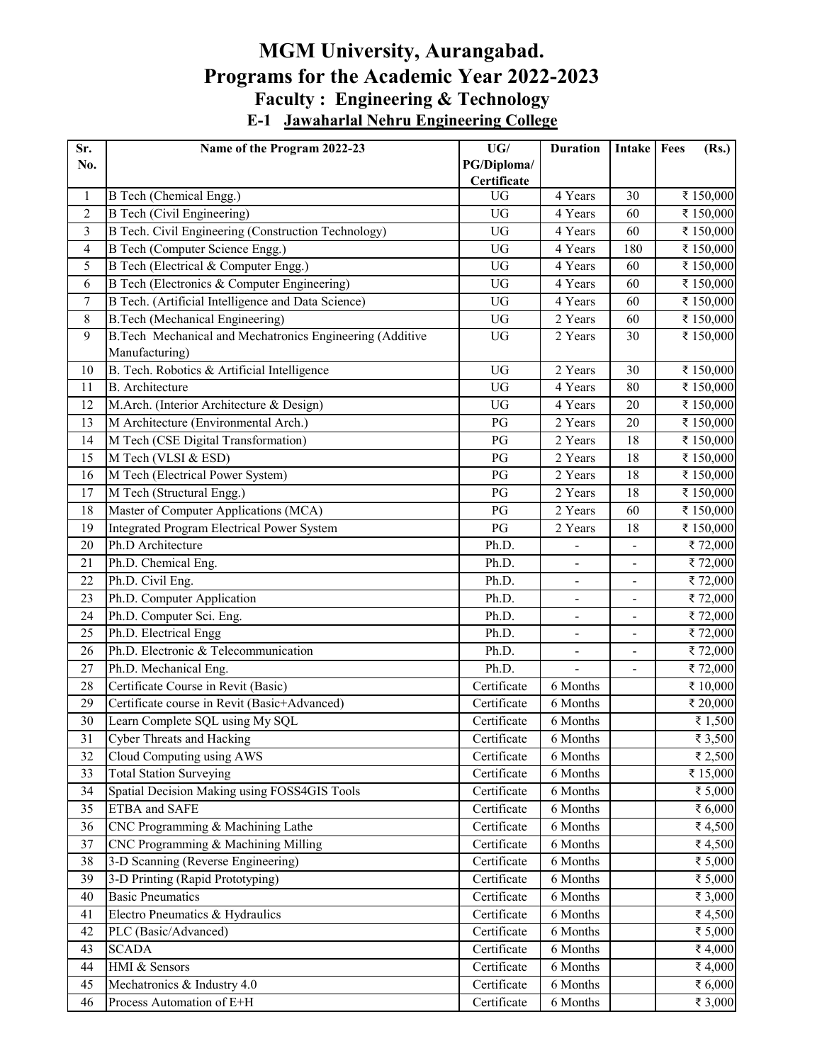## **MGM University, Aurangabad. Programs for the Academic Year 2022-2023 Faculty : Engineering & Technology E-1 Jawaharlal Nehru Engineering College**

| Sr.                     | Name of the Program 2022-23                              | UG/                        | <b>Duration</b>          | Intake                   | Fees<br>(Rs.) |
|-------------------------|----------------------------------------------------------|----------------------------|--------------------------|--------------------------|---------------|
| No.                     |                                                          | PG/Diploma/                |                          |                          |               |
|                         |                                                          | Certificate                |                          |                          |               |
| 1                       | B Tech (Chemical Engg.)                                  | <b>UG</b>                  | 4 Years                  | 30                       | ₹ 150,000     |
| $\overline{2}$          | <b>B</b> Tech (Civil Engineering)                        | <b>UG</b>                  | 4 Years                  | 60                       | ₹ 150,000     |
| 3                       | B Tech. Civil Engineering (Construction Technology)      | <b>UG</b>                  | 4 Years                  | 60                       | ₹ 150,000     |
| $\overline{\mathbf{4}}$ | <b>B Tech (Computer Science Engg.)</b>                   | UG                         | 4 Years                  | 180                      | ₹ 150,000     |
| 5                       | B Tech (Electrical & Computer Engg.)                     | <b>UG</b>                  | 4 Years                  | 60                       | ₹150,000      |
| 6                       | B Tech (Electronics & Computer Engineering)              | UG                         | 4 Years                  | 60                       | ₹150,000      |
| $\tau$                  | B Tech. (Artificial Intelligence and Data Science)       | <b>UG</b>                  | 4 Years                  | 60                       | ₹ 150,000     |
| $8\,$                   | <b>B.Tech (Mechanical Engineering)</b>                   | <b>UG</b>                  | 2 Years                  | 60                       | ₹ 150,000     |
| 9                       | B.Tech Mechanical and Mechatronics Engineering (Additive | UG                         | 2 Years                  | 30                       | ₹ 150,000     |
|                         | Manufacturing)                                           |                            |                          |                          |               |
| 10                      | B. Tech. Robotics & Artificial Intelligence              | <b>UG</b>                  | 2 Years                  | 30                       | ₹ 150,000     |
| 11                      | <b>B.</b> Architecture                                   | <b>UG</b>                  | 4 Years                  | 80                       | ₹ 150,000     |
| 12                      | M.Arch. (Interior Architecture & Design)                 | UG                         | 4 Years                  | 20                       | ₹ 150,000     |
| 13                      | M Architecture (Environmental Arch.)                     | $\mathbf{P}\mathbf{G}$     | 2 Years                  | 20                       | ₹ 150,000     |
| 14                      | M Tech (CSE Digital Transformation)                      | PG                         | 2 Years                  | 18                       | ₹ 150,000     |
| 15                      | M Tech (VLSI & ESD)                                      | PG                         | 2 Years                  | 18                       | ₹ 150,000     |
| 16                      | M Tech (Electrical Power System)                         | PG                         | 2 Years                  | 18                       | ₹ 150,000     |
| 17                      | M Tech (Structural Engg.)                                | PG                         | 2 Years                  | 18                       | ₹150,000      |
| 18                      | Master of Computer Applications (MCA)                    | PG                         | 2 Years                  | 60                       | ₹ 150,000     |
| 19                      | Integrated Program Electrical Power System               | $\mathbf{P}\mathbf{G}$     | 2 Years                  | 18                       | ₹ 150,000     |
| 20                      | Ph.D Architecture                                        | Ph.D.                      |                          |                          | ₹72,000       |
| 21                      | Ph.D. Chemical Eng.                                      | Ph.D.                      |                          |                          | ₹72,000       |
| 22                      | Ph.D. Civil Eng.                                         | Ph.D.                      | $\blacksquare$           | $\blacksquare$           | ₹72,000       |
| 23                      | Ph.D. Computer Application                               | Ph.D.                      | $\overline{\phantom{0}}$ | $\overline{\phantom{a}}$ | ₹72,000       |
| 24                      | Ph.D. Computer Sci. Eng.                                 | Ph.D.                      |                          | $\overline{\phantom{0}}$ | ₹72,000       |
| 25                      | Ph.D. Electrical Engg                                    | Ph.D.                      |                          |                          | ₹72,000       |
| 26                      | Ph.D. Electronic & Telecommunication                     | Ph.D.                      |                          | $\overline{\phantom{0}}$ | ₹72,000       |
| 27                      | Ph.D. Mechanical Eng.                                    | Ph.D.                      |                          |                          | ₹72,000       |
| 28                      | Certificate Course in Revit (Basic)                      | Certificate                | 6 Months                 |                          | ₹ 10,000      |
| 29                      | Certificate course in Revit (Basic+Advanced)             | Certificate                | 6 Months                 |                          | ₹ 20,000      |
| 30                      | Learn Complete SQL using My SQL                          | Certificate                | 6 Months                 |                          | ₹1,500        |
| 31                      | <b>Cyber Threats and Hacking</b>                         | Certificate                | 6 Months                 |                          | ₹ 3,500       |
| 32                      | Cloud Computing using AWS                                |                            | 6 Months                 |                          | ₹ 2,500       |
| 33                      | <b>Total Station Surveying</b>                           | Certificate<br>Certificate | 6 Months                 |                          | ₹ 15,000      |
|                         | Spatial Decision Making using FOSS4GIS Tools             |                            |                          |                          |               |
| 34                      |                                                          | Certificate                | 6 Months                 |                          | ₹ 5,000       |
| 35                      | ETBA and SAFE                                            | Certificate                | 6 Months                 |                          | ₹ 6,000       |
| 36                      | CNC Programming & Machining Lathe                        | Certificate                | 6 Months                 |                          | ₹4,500        |
| 37                      | CNC Programming & Machining Milling                      | Certificate                | 6 Months                 |                          | ₹4,500        |
| 38                      | 3-D Scanning (Reverse Engineering)                       | Certificate                | 6 Months                 |                          | ₹ 5,000       |
| 39                      | 3-D Printing (Rapid Prototyping)                         | Certificate                | 6 Months                 |                          | ₹ 5,000       |
| 40                      | <b>Basic Pneumatics</b>                                  | Certificate                | 6 Months                 |                          | ₹ 3,000       |
| 41                      | Electro Pneumatics & Hydraulics                          | Certificate                | 6 Months                 |                          | ₹4,500        |
| 42                      | PLC (Basic/Advanced)                                     | Certificate                | 6 Months                 |                          | ₹ 5,000       |
| 43                      | <b>SCADA</b>                                             | Certificate                | 6 Months                 |                          | ₹4,000        |
| 44                      | HMI & Sensors                                            | Certificate                | 6 Months                 |                          | ₹4,000        |
| 45                      | Mechatronics & Industry 4.0                              | Certificate                | 6 Months                 |                          | ₹6,000        |
| 46                      | Process Automation of E+H                                | Certificate                | 6 Months                 |                          | ₹ 3,000       |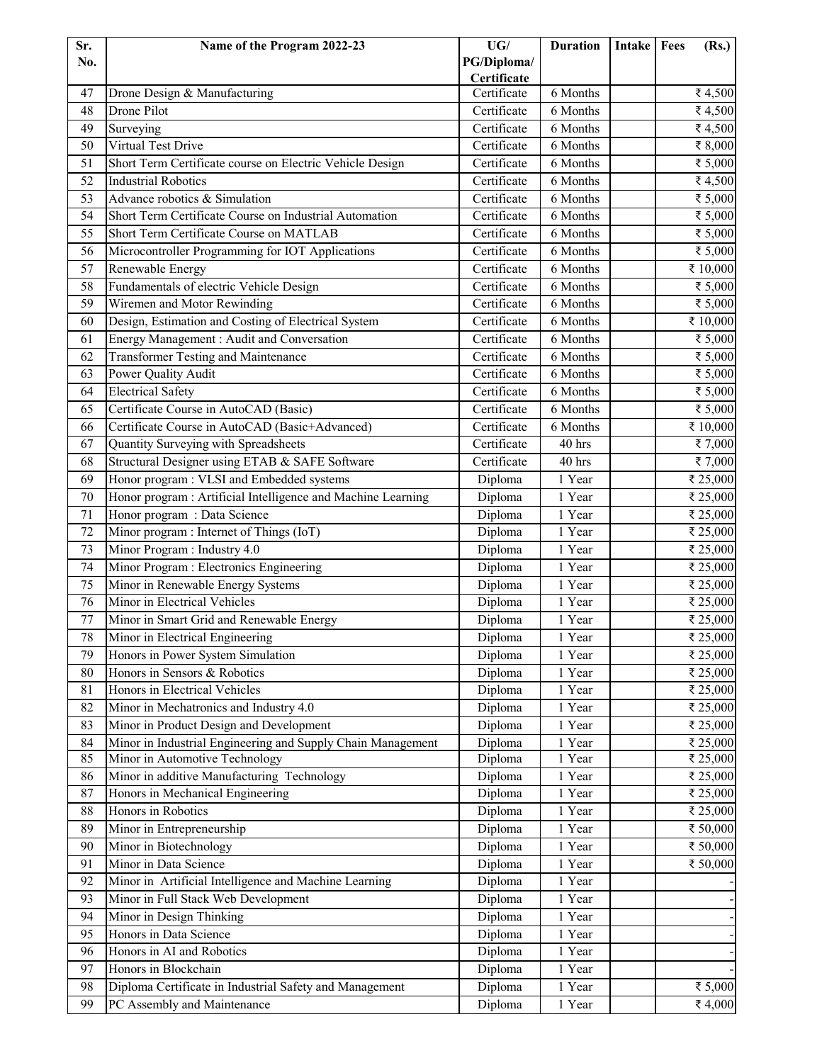| Sr. | Name of the Program 2022-23                                  | UG/         | <b>Duration</b>     | Intake   Fees | (Rs.)      |
|-----|--------------------------------------------------------------|-------------|---------------------|---------------|------------|
| No. |                                                              | PG/Diploma/ |                     |               |            |
|     |                                                              | Certificate |                     |               |            |
| 47  | Drone Design & Manufacturing                                 | Certificate | 6 Months            |               | ₹4,500     |
| 48  | Drone Pilot                                                  | Certificate | 6 Months            |               | ₹4,500     |
| 49  | Surveying                                                    | Certificate | 6 Months            |               | ₹4,500     |
| 50  | <b>Virtual Test Drive</b>                                    | Certificate | 6 Months            |               | ₹8,000     |
| 51  | Short Term Certificate course on Electric Vehicle Design     | Certificate | 6 Months            |               | ₹ 5,000    |
| 52  | <b>Industrial Robotics</b>                                   | Certificate | 6 Months            |               | ₹4,500     |
| 53  | Advance robotics & Simulation                                | Certificate | 6 Months            |               | ₹ 5,000    |
| 54  | Short Term Certificate Course on Industrial Automation       | Certificate | 6 Months            |               | ₹ 5,000    |
| 55  | Short Term Certificate Course on MATLAB                      | Certificate | 6 Months            |               | ₹ 5,000    |
| 56  | Microcontroller Programming for IOT Applications             | Certificate | 6 Months            |               | ₹ 5,000    |
| 57  | Renewable Energy                                             | Certificate | 6 Months            |               | ₹ 10,000   |
| 58  | Fundamentals of electric Vehicle Design                      | Certificate | 6 Months            |               | ₹ 5,000    |
| 59  | Wiremen and Motor Rewinding                                  | Certificate | 6 Months            |               | ₹ 5,000    |
| 60  | Design, Estimation and Costing of Electrical System          | Certificate | 6 Months            |               | ₹ 10,000   |
| 61  | Energy Management : Audit and Conversation                   | Certificate | 6 Months            |               | ₹ 5,000    |
| 62  | Transformer Testing and Maintenance                          | Certificate | 6 Months            |               | ₹ 5,000    |
| 63  | Power Quality Audit                                          | Certificate | 6 Months            |               | ₹ 5,000    |
| 64  | <b>Electrical Safety</b>                                     | Certificate | 6 Months            |               | ₹ 5,000    |
| 65  | Certificate Course in AutoCAD (Basic)                        | Certificate | 6 Months            |               | ₹ 5,000    |
| 66  | Certificate Course in AutoCAD (Basic+Advanced)               | Certificate | 6 Months            |               | ₹ $10,000$ |
| 67  | Quantity Surveying with Spreadsheets                         | Certificate | 40 hrs              |               | ₹7,000     |
| 68  | Structural Designer using ETAB & SAFE Software               | Certificate | 40 hrs              |               | ₹7,000     |
| 69  | Honor program : VLSI and Embedded systems                    | Diploma     | 1 Year              |               | ₹ 25,000   |
| 70  | Honor program : Artificial Intelligence and Machine Learning | Diploma     | 1 Year              |               | ₹ 25,000   |
| 71  | Honor program: Data Science                                  | Diploma     | 1 Year              |               | ₹ 25,000   |
| 72  | Minor program : Internet of Things (IoT)                     | Diploma     | $\overline{1}$ Year |               | ₹ 25,000   |
| 73  | Minor Program: Industry 4.0                                  | Diploma     | 1 Year              |               | ₹ 25,000   |
| 74  | Minor Program : Electronics Engineering                      | Diploma     | 1 Year              |               | ₹ 25,000   |
| 75  | Minor in Renewable Energy Systems                            | Diploma     | 1 Year              |               | ₹ 25,000   |
| 76  | Minor in Electrical Vehicles                                 | Diploma     | 1 Year              |               | ₹ 25,000   |
| 77  | Minor in Smart Grid and Renewable Energy                     | Diploma     | 1 Year              |               | ₹ 25,000   |
| 78  | Minor in Electrical Engineering                              | Diploma     | 1 Year              |               | ₹ 25,000   |
| 79  | Honors in Power System Simulation                            | Diploma     | 1 Year              |               | ₹ 25,000   |
| 80  | Honors in Sensors & Robotics                                 | Diploma     | 1 Year              |               | ₹ 25,000   |
| 81  | Honors in Electrical Vehicles                                | Diploma     | 1 Year              |               | ₹ 25,000   |
| 82  | Minor in Mechatronics and Industry 4.0                       | Diploma     | 1 Year              |               | ₹ 25,000   |
| 83  | Minor in Product Design and Development                      | Diploma     | 1 Year              |               | ₹ 25,000   |
| 84  | Minor in Industrial Engineering and Supply Chain Management  | Diploma     | 1 Year              |               | ₹ 25,000   |
| 85  | Minor in Automotive Technology                               | Diploma     | 1 Year              |               | ₹ 25,000   |
| 86  | Minor in additive Manufacturing Technology                   | Diploma     | 1 Year              |               | ₹ 25,000   |
| 87  | Honors in Mechanical Engineering                             | Diploma     | 1 Year              |               | ₹ 25,000   |
| 88  | Honors in Robotics                                           | Diploma     | 1 Year              |               | ₹ 25,000   |
| 89  | Minor in Entrepreneurship                                    | Diploma     | 1 Year              |               | ₹ 50,000   |
| 90  | Minor in Biotechnology                                       | Diploma     | 1 Year              |               | ₹ 50,000   |
| 91  | Minor in Data Science                                        | Diploma     | 1 Year              |               | ₹ 50,000   |
| 92  | Minor in Artificial Intelligence and Machine Learning        | Diploma     | 1 Year              |               |            |
| 93  | Minor in Full Stack Web Development                          | Diploma     | 1 Year              |               |            |
| 94  | Minor in Design Thinking                                     | Diploma     | 1 Year              |               |            |
| 95  | Honors in Data Science                                       | Diploma     | 1 Year              |               |            |
| 96  | Honors in AI and Robotics                                    | Diploma     | 1 Year              |               |            |
| 97  | Honors in Blockchain                                         | Diploma     | 1 Year              |               |            |
| 98  | Diploma Certificate in Industrial Safety and Management      | Diploma     | 1 Year              |               | ₹ 5,000    |
| 99  | PC Assembly and Maintenance                                  | Diploma     | 1 Year              |               | ₹4,000     |
|     |                                                              |             |                     |               |            |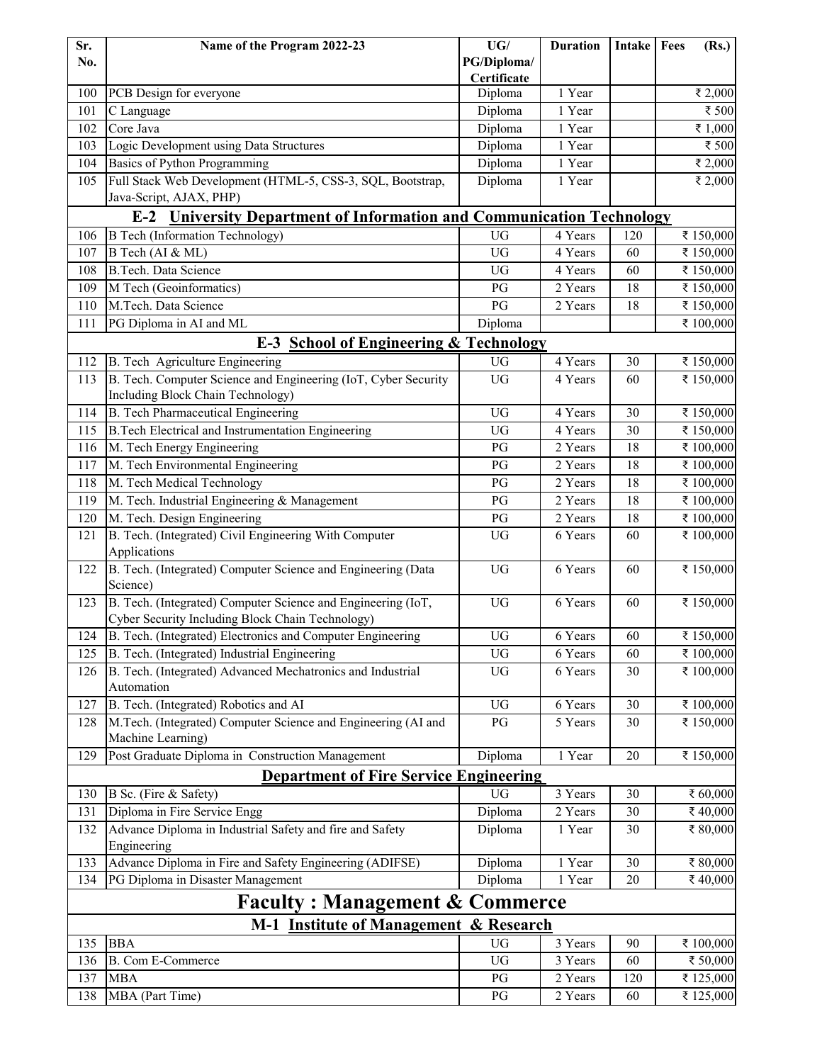| PG/Diploma/<br>No.<br>Certificate<br>PCB Design for everyone<br>Diploma<br>1 Year<br>₹ 2,000<br>100<br>101<br>Diploma<br>1 Year<br>₹ 500<br>C Language<br>Core Java<br>Diploma<br>1 Year<br>₹ $1,000$<br>102<br>Logic Development using Data Structures<br>Diploma<br>₹ 500<br>103<br>1 Year<br>Basics of Python Programming<br>Diploma<br>1 Year<br>₹ 2,000<br>104<br>Full Stack Web Development (HTML-5, CSS-3, SQL, Bootstrap,<br>Diploma<br>1 Year<br>105<br>₹ 2,000<br>Java-Script, AJAX, PHP)<br><b>University Department of Information and Communication Technology</b><br>$E-2$<br><b>B</b> Tech (Information Technology)<br>₹ 150,000<br>106<br>UG<br>4 Years<br>120<br>B Tech (AI & ML)<br><b>UG</b><br>4 Years<br>107<br>60<br>₹ 150,000<br><b>B.Tech.</b> Data Science<br>108<br>UG<br>4 Years<br>₹ 150,000<br>60<br>2 Years<br>109<br>M Tech (Geoinformatics)<br>PG<br>18<br>₹ 150,000<br>110<br>M.Tech. Data Science<br>PG<br>2 Years<br>18<br>₹ 150,000<br>111<br>Diploma<br>₹ 100,000<br>PG Diploma in AI and ML<br><b>E-3 School of Engineering &amp; Technology</b><br>UG<br>4 Years<br>30<br>₹ 150,000<br>112<br>B. Tech Agriculture Engineering<br>B. Tech. Computer Science and Engineering (IoT, Cyber Security<br><b>UG</b><br>₹ 150,000<br>113<br>4 Years<br>60<br>Including Block Chain Technology)<br><b>B.</b> Tech Pharmaceutical Engineering<br><b>UG</b><br>4 Years<br>30<br>₹ 150,000<br>114<br><b>B.Tech Electrical and Instrumentation Engineering</b><br><b>UG</b><br>30<br>₹ 150,000<br>115<br>4 Years<br>2 Years<br>₹ 100,000<br>116<br>M. Tech Energy Engineering<br>PG<br>18<br>M. Tech Environmental Engineering<br>2 Years<br>117<br>PG<br>18<br>₹ 100,000<br>M. Tech Medical Technology<br>2 Years<br>18<br>₹ 100,000<br>118<br>PG<br>M. Tech. Industrial Engineering & Management<br>₹ 100,000<br>119<br>18<br>PG<br>2 Years<br>M. Tech. Design Engineering<br>120<br>PG<br>2 Years<br>18<br>₹ 100,000<br>B. Tech. (Integrated) Civil Engineering With Computer<br>UG<br>₹ 100,000<br>6 Years<br>60<br>121<br>Applications<br>B. Tech. (Integrated) Computer Science and Engineering (Data<br>UG<br>6 Years<br>₹ 150,000<br>122<br>60<br>Science)<br>B. Tech. (Integrated) Computer Science and Engineering (IoT,<br>$\mathbf{U}\mathbf{G}$<br>6 Years<br>₹ 150,000<br>123<br>60<br>Cyber Security Including Block Chain Technology)<br>B. Tech. (Integrated) Electronics and Computer Engineering<br>₹ 150,000<br>124<br>${\rm U}{\rm G}$<br>6 Years<br>60<br>B. Tech. (Integrated) Industrial Engineering<br>UG<br>₹ 100,000<br>125<br>6 Years<br>60<br>B. Tech. (Integrated) Advanced Mechatronics and Industrial<br>₹ 100,000<br>126<br>UG<br>6 Years<br>30<br>Automation<br>B. Tech. (Integrated) Robotics and AI<br>${\rm U}{\rm G}$<br>30<br>₹ 100,000<br>127<br>6 Years<br>M.Tech. (Integrated) Computer Science and Engineering (AI and<br>PG<br>5 Years<br>₹ 150,000<br>128<br>30<br>Machine Learning)<br>Post Graduate Diploma in Construction Management<br>129<br>1 Year<br>20<br>₹ 150,000<br>Diploma<br><b>Department of Fire Service Engineering</b><br>B Sc. (Fire & Safety)<br><b>UG</b><br>3 Years<br>30<br>₹ 60,000<br>130<br>Diploma in Fire Service Engg<br>Diploma<br>131<br>2 Years<br>30<br>₹40,000<br>Advance Diploma in Industrial Safety and fire and Safety<br>132<br>30<br>₹ 80,000<br>Diploma<br>1 Year<br>Engineering<br>Advance Diploma in Fire and Safety Engineering (ADIFSE)<br>133<br>Diploma<br>1 Year<br>30<br>₹ 80,000<br>PG Diploma in Disaster Management<br>₹40,000<br>134<br>Diploma<br>1 Year<br>20<br><b>Faculty: Management &amp; Commerce</b><br><b>M-1</b> Institute of Management<br>& Research<br>135<br><b>BBA</b><br>$\mathbf{U}\mathbf{G}$<br>₹ 100,000<br>3 Years<br>90<br><b>B.</b> Com E-Commerce<br>$\mathbf{U}\mathbf{G}$<br>₹ 50,000<br>136<br>3 Years<br>60<br>2 Years<br>120<br>137<br><b>MBA</b><br>PG<br>₹ 125,000<br>138<br>MBA (Part Time)<br>PG<br>2 Years<br>₹ 125,000<br>60 | Sr. | Name of the Program 2022-23 | UG/ | <b>Duration</b> | Intake Fees |  | (Rs.) |
|---------------------------------------------------------------------------------------------------------------------------------------------------------------------------------------------------------------------------------------------------------------------------------------------------------------------------------------------------------------------------------------------------------------------------------------------------------------------------------------------------------------------------------------------------------------------------------------------------------------------------------------------------------------------------------------------------------------------------------------------------------------------------------------------------------------------------------------------------------------------------------------------------------------------------------------------------------------------------------------------------------------------------------------------------------------------------------------------------------------------------------------------------------------------------------------------------------------------------------------------------------------------------------------------------------------------------------------------------------------------------------------------------------------------------------------------------------------------------------------------------------------------------------------------------------------------------------------------------------------------------------------------------------------------------------------------------------------------------------------------------------------------------------------------------------------------------------------------------------------------------------------------------------------------------------------------------------------------------------------------------------------------------------------------------------------------------------------------------------------------------------------------------------------------------------------------------------------------------------------------------------------------------------------------------------------------------------------------------------------------------------------------------------------------------------------------------------------------------------------------------------------------------------------------------------------------------------------------------------------------------------------------------------------------------------------------------------------------------------------------------------------------------------------------------------------------------------------------------------------------------------------------------------------------------------------------------------------------------------------------------------------------------------------------------------------------------------------------------------------------------------------------------------------------------------------------------------------------------------------------------------------------------------------------------------------------------------------------------------------------------------------------------------------------------------------------------------------------------------------------------------------------------------------------------------------------------------------------------------------------------------------------------------------------------------------------------------------------------------------------------------------------------------------------------------------------------------------------------------------------------------------------------------------------------------------------------------------------------------------------|-----|-----------------------------|-----|-----------------|-------------|--|-------|
|                                                                                                                                                                                                                                                                                                                                                                                                                                                                                                                                                                                                                                                                                                                                                                                                                                                                                                                                                                                                                                                                                                                                                                                                                                                                                                                                                                                                                                                                                                                                                                                                                                                                                                                                                                                                                                                                                                                                                                                                                                                                                                                                                                                                                                                                                                                                                                                                                                                                                                                                                                                                                                                                                                                                                                                                                                                                                                                                                                                                                                                                                                                                                                                                                                                                                                                                                                                                                                                                                                                                                                                                                                                                                                                                                                                                                                                                                                                                                                                             |     |                             |     |                 |             |  |       |
|                                                                                                                                                                                                                                                                                                                                                                                                                                                                                                                                                                                                                                                                                                                                                                                                                                                                                                                                                                                                                                                                                                                                                                                                                                                                                                                                                                                                                                                                                                                                                                                                                                                                                                                                                                                                                                                                                                                                                                                                                                                                                                                                                                                                                                                                                                                                                                                                                                                                                                                                                                                                                                                                                                                                                                                                                                                                                                                                                                                                                                                                                                                                                                                                                                                                                                                                                                                                                                                                                                                                                                                                                                                                                                                                                                                                                                                                                                                                                                                             |     |                             |     |                 |             |  |       |
|                                                                                                                                                                                                                                                                                                                                                                                                                                                                                                                                                                                                                                                                                                                                                                                                                                                                                                                                                                                                                                                                                                                                                                                                                                                                                                                                                                                                                                                                                                                                                                                                                                                                                                                                                                                                                                                                                                                                                                                                                                                                                                                                                                                                                                                                                                                                                                                                                                                                                                                                                                                                                                                                                                                                                                                                                                                                                                                                                                                                                                                                                                                                                                                                                                                                                                                                                                                                                                                                                                                                                                                                                                                                                                                                                                                                                                                                                                                                                                                             |     |                             |     |                 |             |  |       |
|                                                                                                                                                                                                                                                                                                                                                                                                                                                                                                                                                                                                                                                                                                                                                                                                                                                                                                                                                                                                                                                                                                                                                                                                                                                                                                                                                                                                                                                                                                                                                                                                                                                                                                                                                                                                                                                                                                                                                                                                                                                                                                                                                                                                                                                                                                                                                                                                                                                                                                                                                                                                                                                                                                                                                                                                                                                                                                                                                                                                                                                                                                                                                                                                                                                                                                                                                                                                                                                                                                                                                                                                                                                                                                                                                                                                                                                                                                                                                                                             |     |                             |     |                 |             |  |       |
|                                                                                                                                                                                                                                                                                                                                                                                                                                                                                                                                                                                                                                                                                                                                                                                                                                                                                                                                                                                                                                                                                                                                                                                                                                                                                                                                                                                                                                                                                                                                                                                                                                                                                                                                                                                                                                                                                                                                                                                                                                                                                                                                                                                                                                                                                                                                                                                                                                                                                                                                                                                                                                                                                                                                                                                                                                                                                                                                                                                                                                                                                                                                                                                                                                                                                                                                                                                                                                                                                                                                                                                                                                                                                                                                                                                                                                                                                                                                                                                             |     |                             |     |                 |             |  |       |
|                                                                                                                                                                                                                                                                                                                                                                                                                                                                                                                                                                                                                                                                                                                                                                                                                                                                                                                                                                                                                                                                                                                                                                                                                                                                                                                                                                                                                                                                                                                                                                                                                                                                                                                                                                                                                                                                                                                                                                                                                                                                                                                                                                                                                                                                                                                                                                                                                                                                                                                                                                                                                                                                                                                                                                                                                                                                                                                                                                                                                                                                                                                                                                                                                                                                                                                                                                                                                                                                                                                                                                                                                                                                                                                                                                                                                                                                                                                                                                                             |     |                             |     |                 |             |  |       |
|                                                                                                                                                                                                                                                                                                                                                                                                                                                                                                                                                                                                                                                                                                                                                                                                                                                                                                                                                                                                                                                                                                                                                                                                                                                                                                                                                                                                                                                                                                                                                                                                                                                                                                                                                                                                                                                                                                                                                                                                                                                                                                                                                                                                                                                                                                                                                                                                                                                                                                                                                                                                                                                                                                                                                                                                                                                                                                                                                                                                                                                                                                                                                                                                                                                                                                                                                                                                                                                                                                                                                                                                                                                                                                                                                                                                                                                                                                                                                                                             |     |                             |     |                 |             |  |       |
|                                                                                                                                                                                                                                                                                                                                                                                                                                                                                                                                                                                                                                                                                                                                                                                                                                                                                                                                                                                                                                                                                                                                                                                                                                                                                                                                                                                                                                                                                                                                                                                                                                                                                                                                                                                                                                                                                                                                                                                                                                                                                                                                                                                                                                                                                                                                                                                                                                                                                                                                                                                                                                                                                                                                                                                                                                                                                                                                                                                                                                                                                                                                                                                                                                                                                                                                                                                                                                                                                                                                                                                                                                                                                                                                                                                                                                                                                                                                                                                             |     |                             |     |                 |             |  |       |
|                                                                                                                                                                                                                                                                                                                                                                                                                                                                                                                                                                                                                                                                                                                                                                                                                                                                                                                                                                                                                                                                                                                                                                                                                                                                                                                                                                                                                                                                                                                                                                                                                                                                                                                                                                                                                                                                                                                                                                                                                                                                                                                                                                                                                                                                                                                                                                                                                                                                                                                                                                                                                                                                                                                                                                                                                                                                                                                                                                                                                                                                                                                                                                                                                                                                                                                                                                                                                                                                                                                                                                                                                                                                                                                                                                                                                                                                                                                                                                                             |     |                             |     |                 |             |  |       |
|                                                                                                                                                                                                                                                                                                                                                                                                                                                                                                                                                                                                                                                                                                                                                                                                                                                                                                                                                                                                                                                                                                                                                                                                                                                                                                                                                                                                                                                                                                                                                                                                                                                                                                                                                                                                                                                                                                                                                                                                                                                                                                                                                                                                                                                                                                                                                                                                                                                                                                                                                                                                                                                                                                                                                                                                                                                                                                                                                                                                                                                                                                                                                                                                                                                                                                                                                                                                                                                                                                                                                                                                                                                                                                                                                                                                                                                                                                                                                                                             |     |                             |     |                 |             |  |       |
|                                                                                                                                                                                                                                                                                                                                                                                                                                                                                                                                                                                                                                                                                                                                                                                                                                                                                                                                                                                                                                                                                                                                                                                                                                                                                                                                                                                                                                                                                                                                                                                                                                                                                                                                                                                                                                                                                                                                                                                                                                                                                                                                                                                                                                                                                                                                                                                                                                                                                                                                                                                                                                                                                                                                                                                                                                                                                                                                                                                                                                                                                                                                                                                                                                                                                                                                                                                                                                                                                                                                                                                                                                                                                                                                                                                                                                                                                                                                                                                             |     |                             |     |                 |             |  |       |
|                                                                                                                                                                                                                                                                                                                                                                                                                                                                                                                                                                                                                                                                                                                                                                                                                                                                                                                                                                                                                                                                                                                                                                                                                                                                                                                                                                                                                                                                                                                                                                                                                                                                                                                                                                                                                                                                                                                                                                                                                                                                                                                                                                                                                                                                                                                                                                                                                                                                                                                                                                                                                                                                                                                                                                                                                                                                                                                                                                                                                                                                                                                                                                                                                                                                                                                                                                                                                                                                                                                                                                                                                                                                                                                                                                                                                                                                                                                                                                                             |     |                             |     |                 |             |  |       |
|                                                                                                                                                                                                                                                                                                                                                                                                                                                                                                                                                                                                                                                                                                                                                                                                                                                                                                                                                                                                                                                                                                                                                                                                                                                                                                                                                                                                                                                                                                                                                                                                                                                                                                                                                                                                                                                                                                                                                                                                                                                                                                                                                                                                                                                                                                                                                                                                                                                                                                                                                                                                                                                                                                                                                                                                                                                                                                                                                                                                                                                                                                                                                                                                                                                                                                                                                                                                                                                                                                                                                                                                                                                                                                                                                                                                                                                                                                                                                                                             |     |                             |     |                 |             |  |       |
|                                                                                                                                                                                                                                                                                                                                                                                                                                                                                                                                                                                                                                                                                                                                                                                                                                                                                                                                                                                                                                                                                                                                                                                                                                                                                                                                                                                                                                                                                                                                                                                                                                                                                                                                                                                                                                                                                                                                                                                                                                                                                                                                                                                                                                                                                                                                                                                                                                                                                                                                                                                                                                                                                                                                                                                                                                                                                                                                                                                                                                                                                                                                                                                                                                                                                                                                                                                                                                                                                                                                                                                                                                                                                                                                                                                                                                                                                                                                                                                             |     |                             |     |                 |             |  |       |
|                                                                                                                                                                                                                                                                                                                                                                                                                                                                                                                                                                                                                                                                                                                                                                                                                                                                                                                                                                                                                                                                                                                                                                                                                                                                                                                                                                                                                                                                                                                                                                                                                                                                                                                                                                                                                                                                                                                                                                                                                                                                                                                                                                                                                                                                                                                                                                                                                                                                                                                                                                                                                                                                                                                                                                                                                                                                                                                                                                                                                                                                                                                                                                                                                                                                                                                                                                                                                                                                                                                                                                                                                                                                                                                                                                                                                                                                                                                                                                                             |     |                             |     |                 |             |  |       |
|                                                                                                                                                                                                                                                                                                                                                                                                                                                                                                                                                                                                                                                                                                                                                                                                                                                                                                                                                                                                                                                                                                                                                                                                                                                                                                                                                                                                                                                                                                                                                                                                                                                                                                                                                                                                                                                                                                                                                                                                                                                                                                                                                                                                                                                                                                                                                                                                                                                                                                                                                                                                                                                                                                                                                                                                                                                                                                                                                                                                                                                                                                                                                                                                                                                                                                                                                                                                                                                                                                                                                                                                                                                                                                                                                                                                                                                                                                                                                                                             |     |                             |     |                 |             |  |       |
|                                                                                                                                                                                                                                                                                                                                                                                                                                                                                                                                                                                                                                                                                                                                                                                                                                                                                                                                                                                                                                                                                                                                                                                                                                                                                                                                                                                                                                                                                                                                                                                                                                                                                                                                                                                                                                                                                                                                                                                                                                                                                                                                                                                                                                                                                                                                                                                                                                                                                                                                                                                                                                                                                                                                                                                                                                                                                                                                                                                                                                                                                                                                                                                                                                                                                                                                                                                                                                                                                                                                                                                                                                                                                                                                                                                                                                                                                                                                                                                             |     |                             |     |                 |             |  |       |
|                                                                                                                                                                                                                                                                                                                                                                                                                                                                                                                                                                                                                                                                                                                                                                                                                                                                                                                                                                                                                                                                                                                                                                                                                                                                                                                                                                                                                                                                                                                                                                                                                                                                                                                                                                                                                                                                                                                                                                                                                                                                                                                                                                                                                                                                                                                                                                                                                                                                                                                                                                                                                                                                                                                                                                                                                                                                                                                                                                                                                                                                                                                                                                                                                                                                                                                                                                                                                                                                                                                                                                                                                                                                                                                                                                                                                                                                                                                                                                                             |     |                             |     |                 |             |  |       |
|                                                                                                                                                                                                                                                                                                                                                                                                                                                                                                                                                                                                                                                                                                                                                                                                                                                                                                                                                                                                                                                                                                                                                                                                                                                                                                                                                                                                                                                                                                                                                                                                                                                                                                                                                                                                                                                                                                                                                                                                                                                                                                                                                                                                                                                                                                                                                                                                                                                                                                                                                                                                                                                                                                                                                                                                                                                                                                                                                                                                                                                                                                                                                                                                                                                                                                                                                                                                                                                                                                                                                                                                                                                                                                                                                                                                                                                                                                                                                                                             |     |                             |     |                 |             |  |       |
|                                                                                                                                                                                                                                                                                                                                                                                                                                                                                                                                                                                                                                                                                                                                                                                                                                                                                                                                                                                                                                                                                                                                                                                                                                                                                                                                                                                                                                                                                                                                                                                                                                                                                                                                                                                                                                                                                                                                                                                                                                                                                                                                                                                                                                                                                                                                                                                                                                                                                                                                                                                                                                                                                                                                                                                                                                                                                                                                                                                                                                                                                                                                                                                                                                                                                                                                                                                                                                                                                                                                                                                                                                                                                                                                                                                                                                                                                                                                                                                             |     |                             |     |                 |             |  |       |
|                                                                                                                                                                                                                                                                                                                                                                                                                                                                                                                                                                                                                                                                                                                                                                                                                                                                                                                                                                                                                                                                                                                                                                                                                                                                                                                                                                                                                                                                                                                                                                                                                                                                                                                                                                                                                                                                                                                                                                                                                                                                                                                                                                                                                                                                                                                                                                                                                                                                                                                                                                                                                                                                                                                                                                                                                                                                                                                                                                                                                                                                                                                                                                                                                                                                                                                                                                                                                                                                                                                                                                                                                                                                                                                                                                                                                                                                                                                                                                                             |     |                             |     |                 |             |  |       |
|                                                                                                                                                                                                                                                                                                                                                                                                                                                                                                                                                                                                                                                                                                                                                                                                                                                                                                                                                                                                                                                                                                                                                                                                                                                                                                                                                                                                                                                                                                                                                                                                                                                                                                                                                                                                                                                                                                                                                                                                                                                                                                                                                                                                                                                                                                                                                                                                                                                                                                                                                                                                                                                                                                                                                                                                                                                                                                                                                                                                                                                                                                                                                                                                                                                                                                                                                                                                                                                                                                                                                                                                                                                                                                                                                                                                                                                                                                                                                                                             |     |                             |     |                 |             |  |       |
|                                                                                                                                                                                                                                                                                                                                                                                                                                                                                                                                                                                                                                                                                                                                                                                                                                                                                                                                                                                                                                                                                                                                                                                                                                                                                                                                                                                                                                                                                                                                                                                                                                                                                                                                                                                                                                                                                                                                                                                                                                                                                                                                                                                                                                                                                                                                                                                                                                                                                                                                                                                                                                                                                                                                                                                                                                                                                                                                                                                                                                                                                                                                                                                                                                                                                                                                                                                                                                                                                                                                                                                                                                                                                                                                                                                                                                                                                                                                                                                             |     |                             |     |                 |             |  |       |
|                                                                                                                                                                                                                                                                                                                                                                                                                                                                                                                                                                                                                                                                                                                                                                                                                                                                                                                                                                                                                                                                                                                                                                                                                                                                                                                                                                                                                                                                                                                                                                                                                                                                                                                                                                                                                                                                                                                                                                                                                                                                                                                                                                                                                                                                                                                                                                                                                                                                                                                                                                                                                                                                                                                                                                                                                                                                                                                                                                                                                                                                                                                                                                                                                                                                                                                                                                                                                                                                                                                                                                                                                                                                                                                                                                                                                                                                                                                                                                                             |     |                             |     |                 |             |  |       |
|                                                                                                                                                                                                                                                                                                                                                                                                                                                                                                                                                                                                                                                                                                                                                                                                                                                                                                                                                                                                                                                                                                                                                                                                                                                                                                                                                                                                                                                                                                                                                                                                                                                                                                                                                                                                                                                                                                                                                                                                                                                                                                                                                                                                                                                                                                                                                                                                                                                                                                                                                                                                                                                                                                                                                                                                                                                                                                                                                                                                                                                                                                                                                                                                                                                                                                                                                                                                                                                                                                                                                                                                                                                                                                                                                                                                                                                                                                                                                                                             |     |                             |     |                 |             |  |       |
|                                                                                                                                                                                                                                                                                                                                                                                                                                                                                                                                                                                                                                                                                                                                                                                                                                                                                                                                                                                                                                                                                                                                                                                                                                                                                                                                                                                                                                                                                                                                                                                                                                                                                                                                                                                                                                                                                                                                                                                                                                                                                                                                                                                                                                                                                                                                                                                                                                                                                                                                                                                                                                                                                                                                                                                                                                                                                                                                                                                                                                                                                                                                                                                                                                                                                                                                                                                                                                                                                                                                                                                                                                                                                                                                                                                                                                                                                                                                                                                             |     |                             |     |                 |             |  |       |
|                                                                                                                                                                                                                                                                                                                                                                                                                                                                                                                                                                                                                                                                                                                                                                                                                                                                                                                                                                                                                                                                                                                                                                                                                                                                                                                                                                                                                                                                                                                                                                                                                                                                                                                                                                                                                                                                                                                                                                                                                                                                                                                                                                                                                                                                                                                                                                                                                                                                                                                                                                                                                                                                                                                                                                                                                                                                                                                                                                                                                                                                                                                                                                                                                                                                                                                                                                                                                                                                                                                                                                                                                                                                                                                                                                                                                                                                                                                                                                                             |     |                             |     |                 |             |  |       |
|                                                                                                                                                                                                                                                                                                                                                                                                                                                                                                                                                                                                                                                                                                                                                                                                                                                                                                                                                                                                                                                                                                                                                                                                                                                                                                                                                                                                                                                                                                                                                                                                                                                                                                                                                                                                                                                                                                                                                                                                                                                                                                                                                                                                                                                                                                                                                                                                                                                                                                                                                                                                                                                                                                                                                                                                                                                                                                                                                                                                                                                                                                                                                                                                                                                                                                                                                                                                                                                                                                                                                                                                                                                                                                                                                                                                                                                                                                                                                                                             |     |                             |     |                 |             |  |       |
|                                                                                                                                                                                                                                                                                                                                                                                                                                                                                                                                                                                                                                                                                                                                                                                                                                                                                                                                                                                                                                                                                                                                                                                                                                                                                                                                                                                                                                                                                                                                                                                                                                                                                                                                                                                                                                                                                                                                                                                                                                                                                                                                                                                                                                                                                                                                                                                                                                                                                                                                                                                                                                                                                                                                                                                                                                                                                                                                                                                                                                                                                                                                                                                                                                                                                                                                                                                                                                                                                                                                                                                                                                                                                                                                                                                                                                                                                                                                                                                             |     |                             |     |                 |             |  |       |
|                                                                                                                                                                                                                                                                                                                                                                                                                                                                                                                                                                                                                                                                                                                                                                                                                                                                                                                                                                                                                                                                                                                                                                                                                                                                                                                                                                                                                                                                                                                                                                                                                                                                                                                                                                                                                                                                                                                                                                                                                                                                                                                                                                                                                                                                                                                                                                                                                                                                                                                                                                                                                                                                                                                                                                                                                                                                                                                                                                                                                                                                                                                                                                                                                                                                                                                                                                                                                                                                                                                                                                                                                                                                                                                                                                                                                                                                                                                                                                                             |     |                             |     |                 |             |  |       |
|                                                                                                                                                                                                                                                                                                                                                                                                                                                                                                                                                                                                                                                                                                                                                                                                                                                                                                                                                                                                                                                                                                                                                                                                                                                                                                                                                                                                                                                                                                                                                                                                                                                                                                                                                                                                                                                                                                                                                                                                                                                                                                                                                                                                                                                                                                                                                                                                                                                                                                                                                                                                                                                                                                                                                                                                                                                                                                                                                                                                                                                                                                                                                                                                                                                                                                                                                                                                                                                                                                                                                                                                                                                                                                                                                                                                                                                                                                                                                                                             |     |                             |     |                 |             |  |       |
|                                                                                                                                                                                                                                                                                                                                                                                                                                                                                                                                                                                                                                                                                                                                                                                                                                                                                                                                                                                                                                                                                                                                                                                                                                                                                                                                                                                                                                                                                                                                                                                                                                                                                                                                                                                                                                                                                                                                                                                                                                                                                                                                                                                                                                                                                                                                                                                                                                                                                                                                                                                                                                                                                                                                                                                                                                                                                                                                                                                                                                                                                                                                                                                                                                                                                                                                                                                                                                                                                                                                                                                                                                                                                                                                                                                                                                                                                                                                                                                             |     |                             |     |                 |             |  |       |
|                                                                                                                                                                                                                                                                                                                                                                                                                                                                                                                                                                                                                                                                                                                                                                                                                                                                                                                                                                                                                                                                                                                                                                                                                                                                                                                                                                                                                                                                                                                                                                                                                                                                                                                                                                                                                                                                                                                                                                                                                                                                                                                                                                                                                                                                                                                                                                                                                                                                                                                                                                                                                                                                                                                                                                                                                                                                                                                                                                                                                                                                                                                                                                                                                                                                                                                                                                                                                                                                                                                                                                                                                                                                                                                                                                                                                                                                                                                                                                                             |     |                             |     |                 |             |  |       |
|                                                                                                                                                                                                                                                                                                                                                                                                                                                                                                                                                                                                                                                                                                                                                                                                                                                                                                                                                                                                                                                                                                                                                                                                                                                                                                                                                                                                                                                                                                                                                                                                                                                                                                                                                                                                                                                                                                                                                                                                                                                                                                                                                                                                                                                                                                                                                                                                                                                                                                                                                                                                                                                                                                                                                                                                                                                                                                                                                                                                                                                                                                                                                                                                                                                                                                                                                                                                                                                                                                                                                                                                                                                                                                                                                                                                                                                                                                                                                                                             |     |                             |     |                 |             |  |       |
|                                                                                                                                                                                                                                                                                                                                                                                                                                                                                                                                                                                                                                                                                                                                                                                                                                                                                                                                                                                                                                                                                                                                                                                                                                                                                                                                                                                                                                                                                                                                                                                                                                                                                                                                                                                                                                                                                                                                                                                                                                                                                                                                                                                                                                                                                                                                                                                                                                                                                                                                                                                                                                                                                                                                                                                                                                                                                                                                                                                                                                                                                                                                                                                                                                                                                                                                                                                                                                                                                                                                                                                                                                                                                                                                                                                                                                                                                                                                                                                             |     |                             |     |                 |             |  |       |
|                                                                                                                                                                                                                                                                                                                                                                                                                                                                                                                                                                                                                                                                                                                                                                                                                                                                                                                                                                                                                                                                                                                                                                                                                                                                                                                                                                                                                                                                                                                                                                                                                                                                                                                                                                                                                                                                                                                                                                                                                                                                                                                                                                                                                                                                                                                                                                                                                                                                                                                                                                                                                                                                                                                                                                                                                                                                                                                                                                                                                                                                                                                                                                                                                                                                                                                                                                                                                                                                                                                                                                                                                                                                                                                                                                                                                                                                                                                                                                                             |     |                             |     |                 |             |  |       |
|                                                                                                                                                                                                                                                                                                                                                                                                                                                                                                                                                                                                                                                                                                                                                                                                                                                                                                                                                                                                                                                                                                                                                                                                                                                                                                                                                                                                                                                                                                                                                                                                                                                                                                                                                                                                                                                                                                                                                                                                                                                                                                                                                                                                                                                                                                                                                                                                                                                                                                                                                                                                                                                                                                                                                                                                                                                                                                                                                                                                                                                                                                                                                                                                                                                                                                                                                                                                                                                                                                                                                                                                                                                                                                                                                                                                                                                                                                                                                                                             |     |                             |     |                 |             |  |       |
|                                                                                                                                                                                                                                                                                                                                                                                                                                                                                                                                                                                                                                                                                                                                                                                                                                                                                                                                                                                                                                                                                                                                                                                                                                                                                                                                                                                                                                                                                                                                                                                                                                                                                                                                                                                                                                                                                                                                                                                                                                                                                                                                                                                                                                                                                                                                                                                                                                                                                                                                                                                                                                                                                                                                                                                                                                                                                                                                                                                                                                                                                                                                                                                                                                                                                                                                                                                                                                                                                                                                                                                                                                                                                                                                                                                                                                                                                                                                                                                             |     |                             |     |                 |             |  |       |
|                                                                                                                                                                                                                                                                                                                                                                                                                                                                                                                                                                                                                                                                                                                                                                                                                                                                                                                                                                                                                                                                                                                                                                                                                                                                                                                                                                                                                                                                                                                                                                                                                                                                                                                                                                                                                                                                                                                                                                                                                                                                                                                                                                                                                                                                                                                                                                                                                                                                                                                                                                                                                                                                                                                                                                                                                                                                                                                                                                                                                                                                                                                                                                                                                                                                                                                                                                                                                                                                                                                                                                                                                                                                                                                                                                                                                                                                                                                                                                                             |     |                             |     |                 |             |  |       |
|                                                                                                                                                                                                                                                                                                                                                                                                                                                                                                                                                                                                                                                                                                                                                                                                                                                                                                                                                                                                                                                                                                                                                                                                                                                                                                                                                                                                                                                                                                                                                                                                                                                                                                                                                                                                                                                                                                                                                                                                                                                                                                                                                                                                                                                                                                                                                                                                                                                                                                                                                                                                                                                                                                                                                                                                                                                                                                                                                                                                                                                                                                                                                                                                                                                                                                                                                                                                                                                                                                                                                                                                                                                                                                                                                                                                                                                                                                                                                                                             |     |                             |     |                 |             |  |       |
|                                                                                                                                                                                                                                                                                                                                                                                                                                                                                                                                                                                                                                                                                                                                                                                                                                                                                                                                                                                                                                                                                                                                                                                                                                                                                                                                                                                                                                                                                                                                                                                                                                                                                                                                                                                                                                                                                                                                                                                                                                                                                                                                                                                                                                                                                                                                                                                                                                                                                                                                                                                                                                                                                                                                                                                                                                                                                                                                                                                                                                                                                                                                                                                                                                                                                                                                                                                                                                                                                                                                                                                                                                                                                                                                                                                                                                                                                                                                                                                             |     |                             |     |                 |             |  |       |
|                                                                                                                                                                                                                                                                                                                                                                                                                                                                                                                                                                                                                                                                                                                                                                                                                                                                                                                                                                                                                                                                                                                                                                                                                                                                                                                                                                                                                                                                                                                                                                                                                                                                                                                                                                                                                                                                                                                                                                                                                                                                                                                                                                                                                                                                                                                                                                                                                                                                                                                                                                                                                                                                                                                                                                                                                                                                                                                                                                                                                                                                                                                                                                                                                                                                                                                                                                                                                                                                                                                                                                                                                                                                                                                                                                                                                                                                                                                                                                                             |     |                             |     |                 |             |  |       |
|                                                                                                                                                                                                                                                                                                                                                                                                                                                                                                                                                                                                                                                                                                                                                                                                                                                                                                                                                                                                                                                                                                                                                                                                                                                                                                                                                                                                                                                                                                                                                                                                                                                                                                                                                                                                                                                                                                                                                                                                                                                                                                                                                                                                                                                                                                                                                                                                                                                                                                                                                                                                                                                                                                                                                                                                                                                                                                                                                                                                                                                                                                                                                                                                                                                                                                                                                                                                                                                                                                                                                                                                                                                                                                                                                                                                                                                                                                                                                                                             |     |                             |     |                 |             |  |       |
|                                                                                                                                                                                                                                                                                                                                                                                                                                                                                                                                                                                                                                                                                                                                                                                                                                                                                                                                                                                                                                                                                                                                                                                                                                                                                                                                                                                                                                                                                                                                                                                                                                                                                                                                                                                                                                                                                                                                                                                                                                                                                                                                                                                                                                                                                                                                                                                                                                                                                                                                                                                                                                                                                                                                                                                                                                                                                                                                                                                                                                                                                                                                                                                                                                                                                                                                                                                                                                                                                                                                                                                                                                                                                                                                                                                                                                                                                                                                                                                             |     |                             |     |                 |             |  |       |
|                                                                                                                                                                                                                                                                                                                                                                                                                                                                                                                                                                                                                                                                                                                                                                                                                                                                                                                                                                                                                                                                                                                                                                                                                                                                                                                                                                                                                                                                                                                                                                                                                                                                                                                                                                                                                                                                                                                                                                                                                                                                                                                                                                                                                                                                                                                                                                                                                                                                                                                                                                                                                                                                                                                                                                                                                                                                                                                                                                                                                                                                                                                                                                                                                                                                                                                                                                                                                                                                                                                                                                                                                                                                                                                                                                                                                                                                                                                                                                                             |     |                             |     |                 |             |  |       |
|                                                                                                                                                                                                                                                                                                                                                                                                                                                                                                                                                                                                                                                                                                                                                                                                                                                                                                                                                                                                                                                                                                                                                                                                                                                                                                                                                                                                                                                                                                                                                                                                                                                                                                                                                                                                                                                                                                                                                                                                                                                                                                                                                                                                                                                                                                                                                                                                                                                                                                                                                                                                                                                                                                                                                                                                                                                                                                                                                                                                                                                                                                                                                                                                                                                                                                                                                                                                                                                                                                                                                                                                                                                                                                                                                                                                                                                                                                                                                                                             |     |                             |     |                 |             |  |       |
|                                                                                                                                                                                                                                                                                                                                                                                                                                                                                                                                                                                                                                                                                                                                                                                                                                                                                                                                                                                                                                                                                                                                                                                                                                                                                                                                                                                                                                                                                                                                                                                                                                                                                                                                                                                                                                                                                                                                                                                                                                                                                                                                                                                                                                                                                                                                                                                                                                                                                                                                                                                                                                                                                                                                                                                                                                                                                                                                                                                                                                                                                                                                                                                                                                                                                                                                                                                                                                                                                                                                                                                                                                                                                                                                                                                                                                                                                                                                                                                             |     |                             |     |                 |             |  |       |
|                                                                                                                                                                                                                                                                                                                                                                                                                                                                                                                                                                                                                                                                                                                                                                                                                                                                                                                                                                                                                                                                                                                                                                                                                                                                                                                                                                                                                                                                                                                                                                                                                                                                                                                                                                                                                                                                                                                                                                                                                                                                                                                                                                                                                                                                                                                                                                                                                                                                                                                                                                                                                                                                                                                                                                                                                                                                                                                                                                                                                                                                                                                                                                                                                                                                                                                                                                                                                                                                                                                                                                                                                                                                                                                                                                                                                                                                                                                                                                                             |     |                             |     |                 |             |  |       |
|                                                                                                                                                                                                                                                                                                                                                                                                                                                                                                                                                                                                                                                                                                                                                                                                                                                                                                                                                                                                                                                                                                                                                                                                                                                                                                                                                                                                                                                                                                                                                                                                                                                                                                                                                                                                                                                                                                                                                                                                                                                                                                                                                                                                                                                                                                                                                                                                                                                                                                                                                                                                                                                                                                                                                                                                                                                                                                                                                                                                                                                                                                                                                                                                                                                                                                                                                                                                                                                                                                                                                                                                                                                                                                                                                                                                                                                                                                                                                                                             |     |                             |     |                 |             |  |       |
|                                                                                                                                                                                                                                                                                                                                                                                                                                                                                                                                                                                                                                                                                                                                                                                                                                                                                                                                                                                                                                                                                                                                                                                                                                                                                                                                                                                                                                                                                                                                                                                                                                                                                                                                                                                                                                                                                                                                                                                                                                                                                                                                                                                                                                                                                                                                                                                                                                                                                                                                                                                                                                                                                                                                                                                                                                                                                                                                                                                                                                                                                                                                                                                                                                                                                                                                                                                                                                                                                                                                                                                                                                                                                                                                                                                                                                                                                                                                                                                             |     |                             |     |                 |             |  |       |
|                                                                                                                                                                                                                                                                                                                                                                                                                                                                                                                                                                                                                                                                                                                                                                                                                                                                                                                                                                                                                                                                                                                                                                                                                                                                                                                                                                                                                                                                                                                                                                                                                                                                                                                                                                                                                                                                                                                                                                                                                                                                                                                                                                                                                                                                                                                                                                                                                                                                                                                                                                                                                                                                                                                                                                                                                                                                                                                                                                                                                                                                                                                                                                                                                                                                                                                                                                                                                                                                                                                                                                                                                                                                                                                                                                                                                                                                                                                                                                                             |     |                             |     |                 |             |  |       |
|                                                                                                                                                                                                                                                                                                                                                                                                                                                                                                                                                                                                                                                                                                                                                                                                                                                                                                                                                                                                                                                                                                                                                                                                                                                                                                                                                                                                                                                                                                                                                                                                                                                                                                                                                                                                                                                                                                                                                                                                                                                                                                                                                                                                                                                                                                                                                                                                                                                                                                                                                                                                                                                                                                                                                                                                                                                                                                                                                                                                                                                                                                                                                                                                                                                                                                                                                                                                                                                                                                                                                                                                                                                                                                                                                                                                                                                                                                                                                                                             |     |                             |     |                 |             |  |       |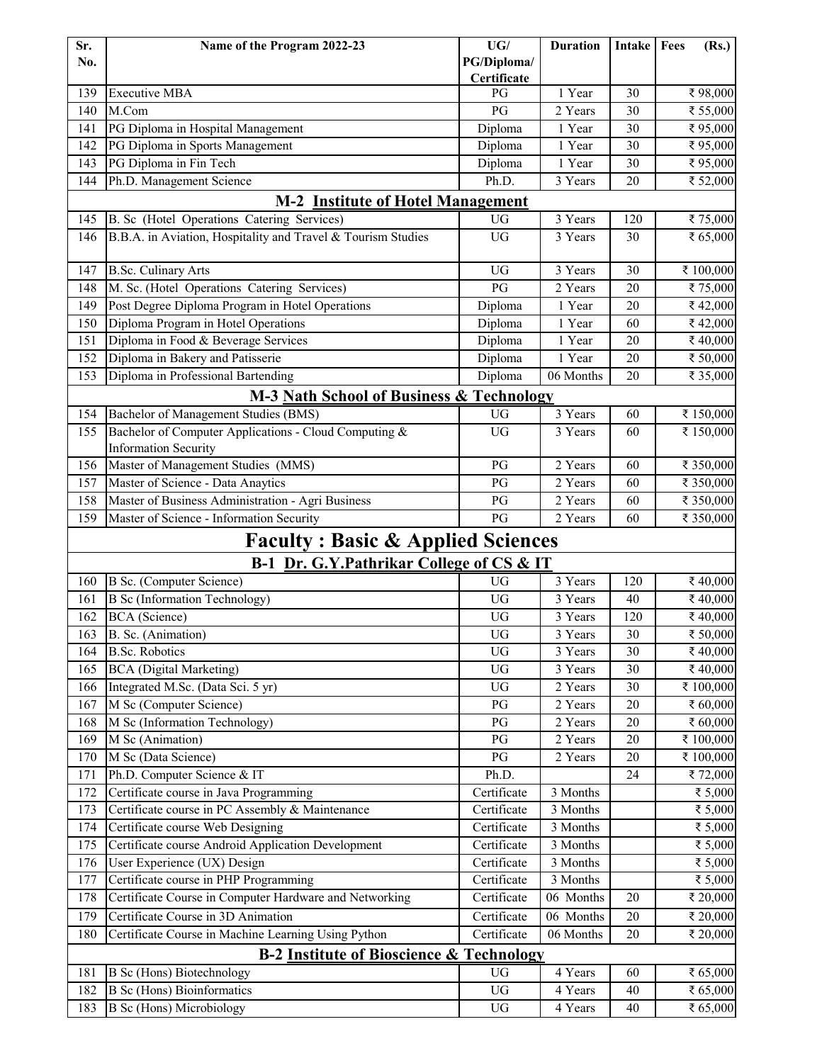| Sr.<br>No. | Name of the Program 2022-23                                                          | UG/<br>PG/Diploma/     | <b>Duration</b> | <b>Intake</b> | Fees<br>(Rs.) |
|------------|--------------------------------------------------------------------------------------|------------------------|-----------------|---------------|---------------|
| 139        | <b>Executive MBA</b>                                                                 | Certificate<br>PG      | 1 Year          | 30            | ₹98,000       |
| 140        | M.Com                                                                                | PG                     | 2 Years         | 30            | ₹ 55,000      |
| 141        | PG Diploma in Hospital Management                                                    | Diploma                | 1 Year          | 30            | ₹95,000       |
| 142        | PG Diploma in Sports Management                                                      | Diploma                | 1 Year          | 30            | ₹95,000       |
| 143        | PG Diploma in Fin Tech                                                               | Diploma                | 1 Year          | 30            | ₹95,000       |
| 144        | Ph.D. Management Science                                                             | Ph.D.                  | 3 Years         | 20            | ₹ 52,000      |
|            | <b>Institute of Hotel Management</b><br>$M-2$                                        |                        |                 |               |               |
| 145        | B. Sc (Hotel Operations Catering Services)                                           | <b>UG</b>              | 3 Years         | 120           | ₹75,000       |
| 146        | B.B.A. in Aviation, Hospitality and Travel & Tourism Studies                         | <b>UG</b>              | 3 Years         | 30            | ₹ 65,000      |
| 147        | <b>B.Sc. Culinary Arts</b>                                                           | <b>UG</b>              | 3 Years         | 30            | ₹ 100,000     |
| 148        | M. Sc. (Hotel Operations Catering Services)                                          | PG                     | 2 Years         | 20            | ₹75,000       |
| 149        | Post Degree Diploma Program in Hotel Operations                                      | Diploma                | 1 Year          | 20            | ₹42,000       |
| 150        | Diploma Program in Hotel Operations                                                  | Diploma                | 1 Year          | 60            | ₹42,000       |
| 151        | Diploma in Food & Beverage Services                                                  | Diploma                | 1 Year          | 20            | ₹40,000       |
| 152        | Diploma in Bakery and Patisserie                                                     | Diploma                | 1 Year          | 20            | ₹ 50,000      |
| 153        | Diploma in Professional Bartending                                                   | Diploma                | 06 Months       | 20            | ₹ 35,000      |
|            | M-3 Nath School of Business & Technology                                             |                        |                 |               |               |
| 154        | Bachelor of Management Studies (BMS)                                                 | UG                     | 3 Years         | 60            | ₹ 150,000     |
| 155        | Bachelor of Computer Applications - Cloud Computing &<br><b>Information Security</b> | <b>UG</b>              | 3 Years         | 60            | ₹ 150,000     |
| 156        | Master of Management Studies (MMS)                                                   | PG                     | 2 Years         | 60            | ₹ 350,000     |
| 157        | Master of Science - Data Anaytics                                                    | PG                     | 2 Years         | 60            | ₹ 350,000     |
| 158        | Master of Business Administration - Agri Business                                    | PG                     | 2 Years         | 60            | ₹ 350,000     |
| 159        | Master of Science - Information Security                                             | PG                     | 2 Years         | 60            | ₹ 350,000     |
|            | <b>Faculty: Basic &amp; Applied Sciences</b>                                         |                        |                 |               |               |
|            | B-1 Dr. G.Y.Pathrikar College of CS & IT                                             |                        |                 |               |               |
| 160        | B Sc. (Computer Science)                                                             | <b>UG</b>              | 3 Years         | 120           | ₹40,000       |
| 161        | <b>B</b> Sc (Information Technology)                                                 | UG                     | 3 Years         | 40            | ₹40,000       |
| 162        | BCA (Science)                                                                        | <b>UG</b>              | 3 Years         | 120           | ₹40,000       |
| 163        | B. Sc. (Animation)                                                                   | ${\rm U}{\rm G}$       | 3 Years         | $30\,$        | ₹ 50,000      |
| 164        | <b>B.Sc. Robotics</b>                                                                | UG                     | 3 Years         | 30            | ₹40,000       |
| 165        | <b>BCA</b> (Digital Marketing)                                                       | ${\rm U}{\rm G}$       | 3 Years         | 30            | ₹40,000       |
| 166        | Integrated M.Sc. (Data Sci. 5 yr)                                                    | UG                     | 2 Years         | 30            | ₹ 100,000     |
| 167        | M Sc (Computer Science)                                                              | $\mathbf{P}\mathbf{G}$ | 2 Years         | 20            | ₹ 60,000      |
| 168        | M Sc (Information Technology)                                                        | $\mathbf{P}\mathbf{G}$ | 2 Years         | 20            | ₹ 60,000      |
| 169        | M Sc (Animation)                                                                     | PG                     | 2 Years         | 20            | ₹ 100,000     |
| 170        | M Sc (Data Science)                                                                  | PG                     | 2 Years         | $20\,$        | ₹ 100,000     |
| 171        | Ph.D. Computer Science & IT                                                          | Ph.D.                  |                 | 24            | ₹72,000       |
| 172        | Certificate course in Java Programming                                               | Certificate            | 3 Months        |               | ₹ 5,000       |
| 173        | Certificate course in PC Assembly & Maintenance                                      | Certificate            | 3 Months        |               | ₹ 5,000       |
| 174        | Certificate course Web Designing                                                     | Certificate            | 3 Months        |               | ₹ 5,000       |
| 175        | Certificate course Android Application Development                                   | Certificate            | 3 Months        |               | ₹ 5,000       |
| 176        | User Experience (UX) Design                                                          | Certificate            | 3 Months        |               | ₹ 5,000       |
| 177        | Certificate course in PHP Programming                                                | Certificate            | 3 Months        |               | ₹ 5,000       |
| 178        | Certificate Course in Computer Hardware and Networking                               | Certificate            | 06 Months       | 20            | ₹ 20,000      |
| 179        | Certificate Course in 3D Animation                                                   | Certificate            | 06 Months       | 20            | ₹ 20,000      |
| 180        | Certificate Course in Machine Learning Using Python                                  | Certificate            | 06 Months       | 20            | ₹ 20,000      |
|            | <b>B-2 Institute of Bioscience &amp; Technology</b>                                  |                        |                 |               |               |
| 181        | <b>B</b> Sc (Hons) Biotechnology                                                     | <b>UG</b>              | 4 Years         | 60            | ₹ 65,000      |
| 182        | <b>B</b> Sc (Hons) Bioinformatics                                                    | UG                     | 4 Years         | 40            | ₹ 65,000      |
| 183        | <b>B</b> Sc (Hons) Microbiology                                                      | $_{\rm UG}$            | 4 Years         | 40            | ₹ 65,000      |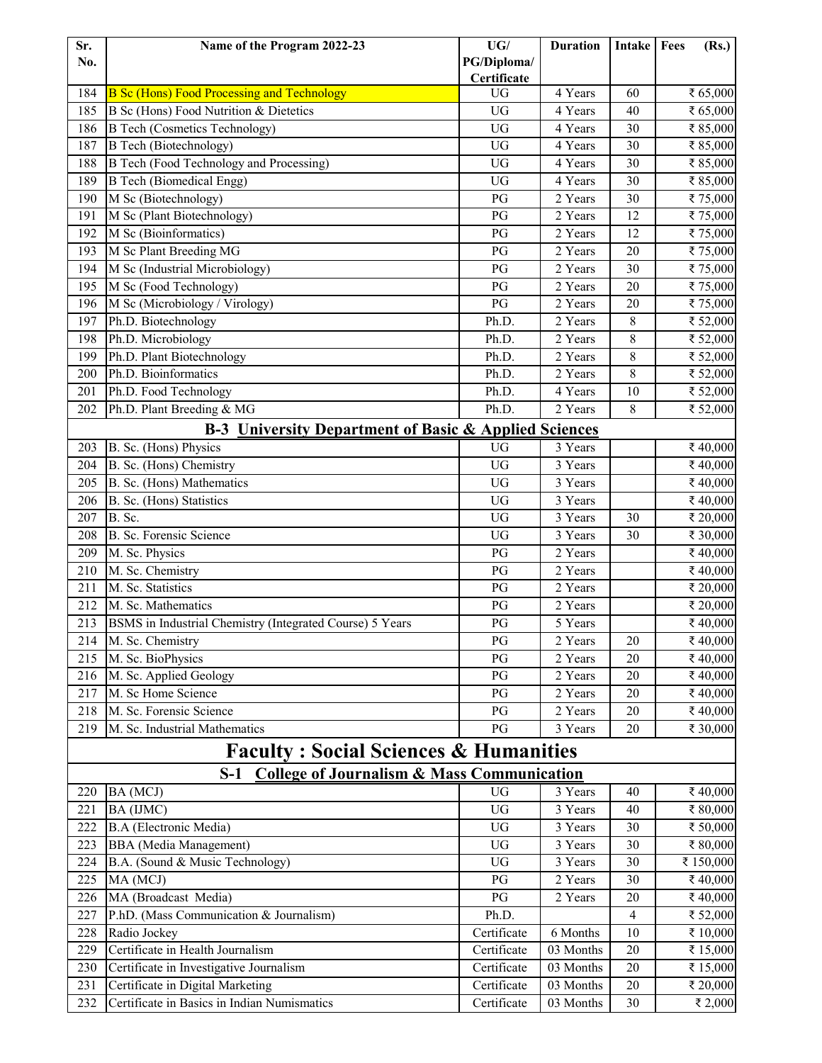| Sr. | Name of the Program 2022-23                                      | UG/                    | <b>Duration</b>      | <b>Intake</b> | Fees | (Rs.)                |
|-----|------------------------------------------------------------------|------------------------|----------------------|---------------|------|----------------------|
| No. |                                                                  | PG/Diploma/            |                      |               |      |                      |
|     |                                                                  | Certificate            |                      |               |      |                      |
| 184 | <b>B Sc (Hons) Food Processing and Technology</b>                | <b>UG</b>              | 4 Years              | 60            |      | ₹ 65,000             |
| 185 | B Sc (Hons) Food Nutrition & Dietetics                           | <b>UG</b>              | 4 Years              | 40            |      | ₹ 65,000             |
| 186 | <b>B Tech (Cosmetics Technology)</b>                             | <b>UG</b>              | 4 Years              | 30            |      | ₹ 85,000             |
| 187 | <b>B</b> Tech (Biotechnology)                                    | <b>UG</b>              | 4 Years              | 30            |      | ₹ 85,000             |
| 188 | <b>B</b> Tech (Food Technology and Processing)                   | <b>UG</b>              | 4 Years              | 30            |      | ₹ 85,000             |
| 189 | <b>B</b> Tech (Biomedical Engg)                                  | <b>UG</b>              | 4 Years              | 30            |      | ₹ 85,000             |
| 190 | M Sc (Biotechnology)                                             | PG                     | 2 Years              | 30            |      | ₹75,000              |
| 191 | M Sc (Plant Biotechnology)                                       | PG                     | 2 Years              | 12            |      | ₹75,000              |
| 192 | M Sc (Bioinformatics)                                            | PG                     | 2 Years              | 12            |      | ₹75,000              |
| 193 | M Sc Plant Breeding MG                                           | PG                     | $\overline{2}$ Years | 20            |      | ₹75,000              |
| 194 | M Sc (Industrial Microbiology)                                   | PG                     | 2 Years              | 30            |      | ₹75,000              |
| 195 | M Sc (Food Technology)                                           | PG                     | 2 Years              | 20            |      | ₹75,000              |
| 196 | M Sc (Microbiology / Virology)                                   | PG                     | 2 Years              | 20            |      | ₹75,000              |
| 197 | Ph.D. Biotechnology                                              | Ph.D.                  | 2 Years              | 8             |      | ₹ 52,000             |
| 198 | Ph.D. Microbiology                                               | Ph.D.                  | 2 Years              | 8             |      | ₹ 52,000             |
| 199 | Ph.D. Plant Biotechnology                                        | Ph.D.                  | 2 Years              | 8             |      | ₹ 52,000             |
| 200 | Ph.D. Bioinformatics                                             | Ph.D.                  | 2 Years              | 8             |      | ₹ 52,000             |
| 201 | Ph.D. Food Technology                                            | Ph.D.                  | 4 Years              | 10            |      | ₹ 52,000             |
| 202 | Ph.D. Plant Breeding & MG                                        | Ph.D.                  | $\overline{2}$ Years | 8             |      | ₹ 52,000             |
|     | <b>B-3 University Department of Basic &amp; Applied Sciences</b> |                        |                      |               |      |                      |
| 203 | B. Sc. (Hons) Physics                                            | <b>UG</b>              | 3 Years              |               |      | ₹40,000              |
| 204 | B. Sc. (Hons) Chemistry                                          | <b>UG</b>              | 3 Years              |               |      | ₹40,000              |
| 205 | B. Sc. (Hons) Mathematics                                        | <b>UG</b>              | 3 Years              |               |      | ₹40,000              |
| 206 | B. Sc. (Hons) Statistics                                         | <b>UG</b>              | 3 Years              |               |      | ₹40,000              |
| 207 | B. Sc.                                                           | <b>UG</b>              | 3 Years              | 30            |      | ₹ 20,000             |
| 208 | B. Sc. Forensic Science                                          | <b>UG</b>              | 3 Years              | 30            |      | ₹ 30,000             |
| 209 | M. Sc. Physics                                                   | PG                     | 2 Years              |               |      | ₹40,000              |
| 210 | M. Sc. Chemistry                                                 | PG                     | 2 Years              |               |      | ₹40,000              |
| 211 | M. Sc. Statistics                                                | $\overline{P}G$        | 2 Years              |               |      | ₹ 20,000             |
| 212 | M. Sc. Mathematics                                               | PG                     | 2 Years              |               |      | ₹ 20,000             |
| 213 | BSMS in Industrial Chemistry (Integrated Course) 5 Years         | PG                     | 5 Years              |               |      | ₹40,000              |
| 214 | M. Sc. Chemistry                                                 | $\mathbf{P}\mathbf{G}$ | 2 Years              | 20            |      | ₹40,000              |
| 215 | M. Sc. BioPhysics                                                | PG                     | 2 Years              | 20            |      | ₹40,000              |
| 216 | M. Sc. Applied Geology                                           | PG                     | 2 Years              | 20            |      | ₹40,000              |
| 217 | M. Sc Home Science                                               | PG                     | 2 Years              | 20            |      | ₹40,000              |
| 218 | M. Sc. Forensic Science                                          | PG                     | 2 Years              | 20            |      | ₹40,000              |
| 219 | M. Sc. Industrial Mathematics                                    | PG                     | 3 Years              | 20            |      | ₹ 30,000             |
|     | <b>Faculty: Social Sciences &amp; Humanities</b>                 |                        |                      |               |      |                      |
|     | <b>College of Journalism &amp; Mass Communication</b><br>$S-1$   |                        |                      |               |      |                      |
| 220 | BA (MCJ)                                                         | <b>UG</b>              | 3 Years              | 40            |      | ₹40,000              |
| 221 | BA (IJMC)                                                        | UG                     | 3 Years              | 40            |      | ₹ 80,000             |
| 222 | <b>B.A</b> (Electronic Media)                                    | UG                     | 3 Years              | 30            |      | ₹ 50,000             |
| 223 | <b>BBA</b> (Media Management)                                    | UG                     | 3 Years              | 30            |      | ₹ 80,000             |
| 224 | B.A. (Sound & Music Technology)                                  | UG                     | $\overline{3}$ Years | 30            |      |                      |
| 225 | MA (MCJ)                                                         | PG                     | 2 Years              | 30            |      | ₹ 150,000<br>₹40,000 |
| 226 | MA (Broadcast Media)                                             | PG                     | 2 Years              | 20            |      | ₹40,000              |
| 227 | P.hD. (Mass Communication & Journalism)                          | Ph.D.                  |                      | 4             |      | ₹ 52,000             |
| 228 | Radio Jockey                                                     | Certificate            | 6 Months             | 10            |      | ₹ 10,000             |
| 229 | Certificate in Health Journalism                                 | Certificate            | 03 Months            | 20            |      | ₹ 15,000             |
| 230 | Certificate in Investigative Journalism                          | Certificate            | 03 Months            | 20            |      | ₹ 15,000             |
| 231 | Certificate in Digital Marketing                                 | Certificate            | 03 Months            | 20            |      | ₹ 20,000             |
| 232 | Certificate in Basics in Indian Numismatics                      | Certificate            | 03 Months            | 30            |      | ₹ 2,000              |
|     |                                                                  |                        |                      |               |      |                      |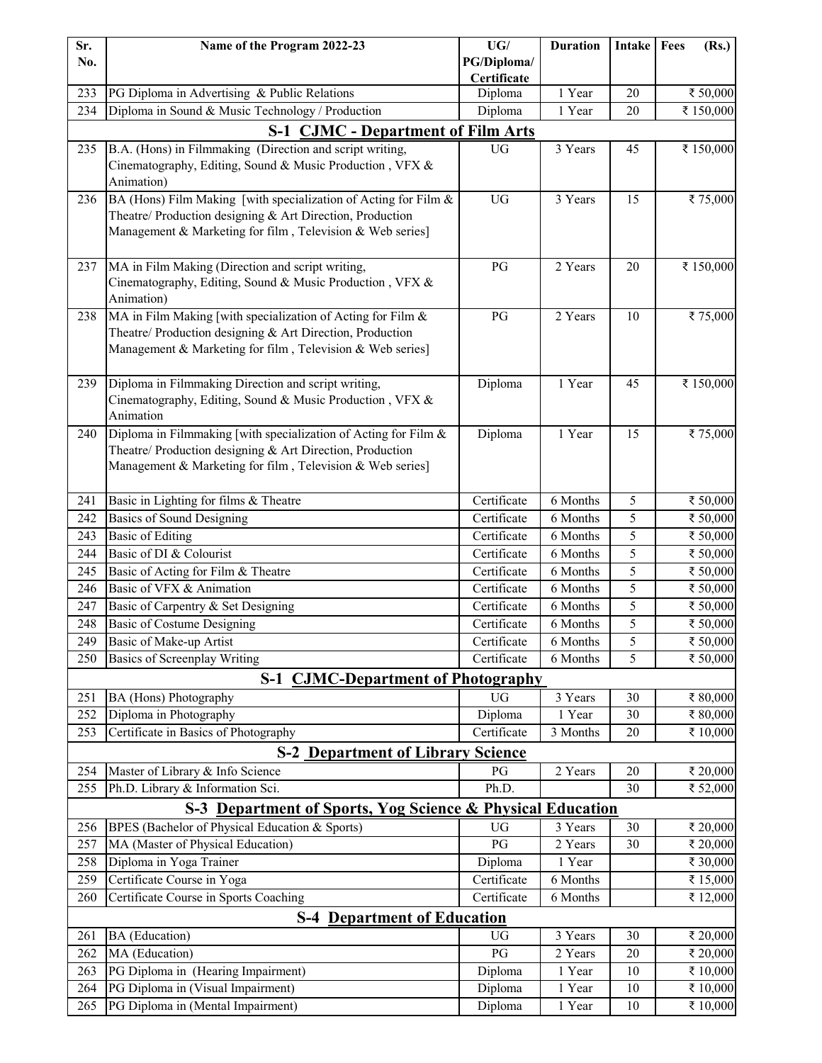| Sr.        | Name of the Program 2022-23                                                  | UG/                        | <b>Duration</b>                   | Intake         | Fees | (Rs.)                |
|------------|------------------------------------------------------------------------------|----------------------------|-----------------------------------|----------------|------|----------------------|
| No.        |                                                                              | PG/Diploma/                |                                   |                |      |                      |
|            |                                                                              | Certificate                |                                   |                |      |                      |
| 233        | PG Diploma in Advertising & Public Relations                                 | Diploma                    | 1 Year                            | 20             |      | ₹ 50,000             |
| 234        | Diploma in Sound & Music Technology / Production                             | Diploma                    | 1 Year                            | 20             |      | ₹ 150,000            |
|            | <b>S-1 CJMC - Department of Film Arts</b>                                    |                            |                                   |                |      |                      |
| 235        | B.A. (Hons) in Filmmaking (Direction and script writing,                     | UG                         | 3 Years                           | 45             |      | ₹ 150,000            |
|            | Cinematography, Editing, Sound & Music Production, VFX &                     |                            |                                   |                |      |                      |
|            | Animation)                                                                   |                            |                                   |                |      |                      |
| 236        | BA (Hons) Film Making [with specialization of Acting for Film &              | <b>UG</b>                  | 3 Years                           | 15             |      | ₹75,000              |
|            | Theatre/ Production designing & Art Direction, Production                    |                            |                                   |                |      |                      |
|            | Management & Marketing for film, Television & Web series]                    |                            |                                   |                |      |                      |
| 237        | MA in Film Making (Direction and script writing,                             | PG                         | 2 Years                           | 20             |      | ₹ 150,000            |
|            | Cinematography, Editing, Sound & Music Production, VFX &                     |                            |                                   |                |      |                      |
|            | Animation)                                                                   |                            |                                   |                |      |                      |
| 238        | MA in Film Making [with specialization of Acting for Film &                  | PG                         | 2 Years                           | 10             |      | ₹75,000              |
|            | Theatre/ Production designing & Art Direction, Production                    |                            |                                   |                |      |                      |
|            | Management & Marketing for film, Television & Web series]                    |                            |                                   |                |      |                      |
|            |                                                                              |                            |                                   |                |      |                      |
| 239        | Diploma in Filmmaking Direction and script writing,                          | Diploma                    | 1 Year                            | 45             |      | ₹ 150,000            |
|            | Cinematography, Editing, Sound & Music Production, VFX &                     |                            |                                   |                |      |                      |
|            | Animation                                                                    |                            |                                   |                |      |                      |
| 240        | Diploma in Filmmaking [with specialization of Acting for Film &              | Diploma                    | 1 Year                            | 15             |      | ₹75,000              |
|            | Theatre/ Production designing & Art Direction, Production                    |                            |                                   |                |      |                      |
|            | Management & Marketing for film, Television & Web series]                    |                            |                                   |                |      |                      |
|            |                                                                              |                            |                                   |                |      |                      |
| 241        | Basic in Lighting for films & Theatre                                        | Certificate                | 6 Months                          | 5              |      | ₹ 50,000             |
| 242        | <b>Basics of Sound Designing</b>                                             | Certificate<br>Certificate | 6 Months<br>$\overline{6}$ Months | 5              |      | ₹ 50,000             |
| 243<br>244 | <b>Basic of Editing</b><br>Basic of DI & Colourist                           | Certificate                | 6 Months                          | 5<br>5         |      | ₹ 50,000             |
| 245        |                                                                              | Certificate                | 6 Months                          | $\overline{5}$ |      | ₹ 50,000             |
| 246        | Basic of Acting for Film & Theatre<br>Basic of VFX & Animation               | Certificate                | 6 Months                          | 5              |      | ₹ 50,000<br>₹ 50,000 |
| 247        |                                                                              | Certificate                | 6 Months                          | 5              |      | ₹ 50,000             |
| 248        | Basic of Carpentry & Set Designing<br>Basic of Costume Designing             | Certificate                | 6 Months                          | 5              |      | ₹ 50,000             |
| 249        | Basic of Make-up Artist                                                      |                            |                                   |                |      |                      |
| 250        | <b>Basics of Screenplay Writing</b>                                          | Certificate<br>Certificate | 6 Months<br>6 Months              | 5<br>5         |      | ₹ 50,000<br>₹ 50,000 |
|            | $S-1$                                                                        |                            |                                   |                |      |                      |
| 251        | <b>CJMC-Department of Photography</b>                                        | <b>UG</b>                  | 3 Years                           | 30             |      | ₹ 80,000             |
| 252        | BA (Hons) Photography<br>Diploma in Photography                              | Diploma                    | 1 Year                            | 30             |      | ₹ 80,000             |
| 253        | Certificate in Basics of Photography                                         | Certificate                | 3 Months                          | 20             |      | ₹ 10,000             |
|            |                                                                              |                            |                                   |                |      |                      |
| 254        | <b>S-2 Department of Library Science</b><br>Master of Library & Info Science | PG                         | 2 Years                           | 20             |      | ₹ 20,000             |
| 255        | Ph.D. Library & Information Sci.                                             | Ph.D.                      |                                   | 30             |      | ₹ 52,000             |
|            | S-3 Department of Sports, Yog Science & Physical Education                   |                            |                                   |                |      |                      |
| 256        | BPES (Bachelor of Physical Education & Sports)                               | <b>UG</b>                  | 3 Years                           | 30             |      | ₹ 20,000             |
| 257        | MA (Master of Physical Education)                                            | $\mathbf{P}\mathbf{G}$     | 2 Years                           | 30             |      | ₹ 20,000             |
| 258        | Diploma in Yoga Trainer                                                      | Diploma                    | 1 Year                            |                |      | ₹ 30,000             |
| 259        | Certificate Course in Yoga                                                   | Certificate                | 6 Months                          |                |      | ₹ 15,000             |
| 260        | Certificate Course in Sports Coaching                                        | Certificate                | 6 Months                          |                |      | ₹ 12,000             |
|            | <b>S-4 Department of Education</b>                                           |                            |                                   |                |      |                      |
| 261        | BA (Education)                                                               | <b>UG</b>                  | 3 Years                           | 30             |      | ₹ 20,000             |
| 262        | MA (Education)                                                               | PG                         | 2 Years                           | 20             |      | ₹ 20,000             |
| 263        | PG Diploma in (Hearing Impairment)                                           | Diploma                    | 1 Year                            | 10             |      | ₹ 10,000             |
| 264        | PG Diploma in (Visual Impairment)                                            | Diploma                    | 1 Year                            | 10             |      | ₹ 10,000             |
| 265        | PG Diploma in (Mental Impairment)                                            | Diploma                    | 1 Year                            | $10\,$         |      | ₹ 10,000             |
|            |                                                                              |                            |                                   |                |      |                      |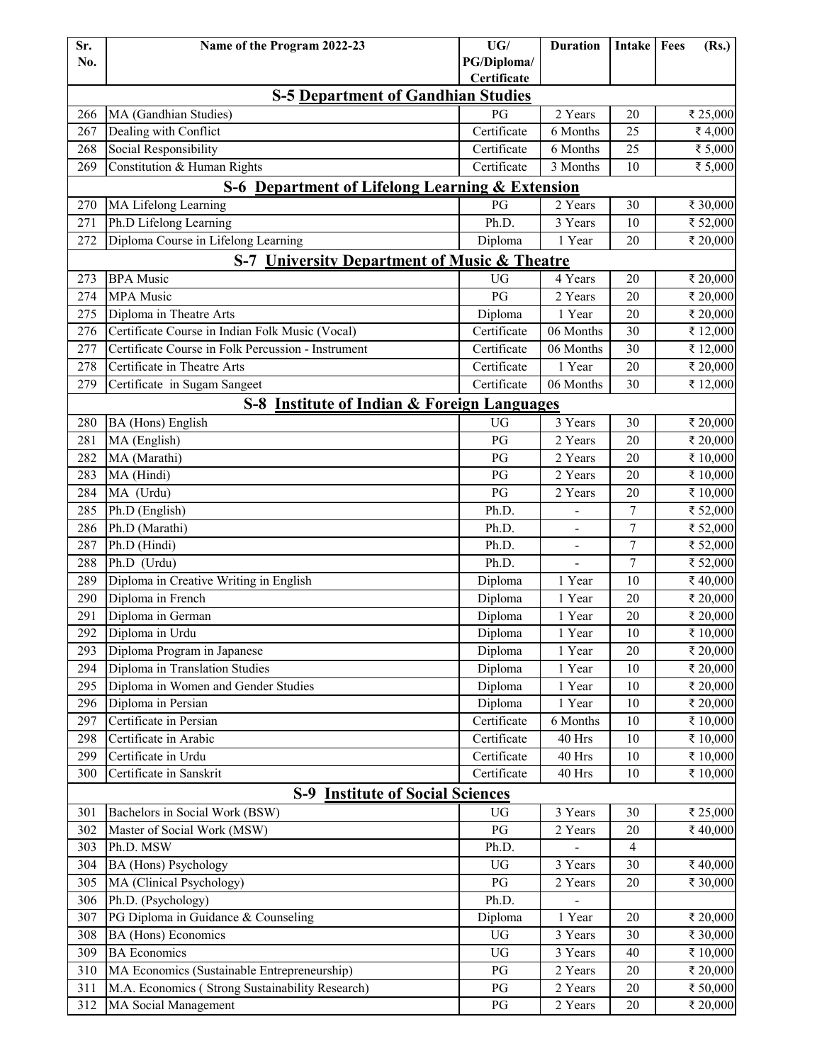| Sr. | Name of the Program 2022-23                             | UG/                        | <b>Duration</b>      | <b>Intake</b>   Fees | (Rs.)    |
|-----|---------------------------------------------------------|----------------------------|----------------------|----------------------|----------|
| No. |                                                         | PG/Diploma/<br>Certificate |                      |                      |          |
|     | <b>S-5 Department of Gandhian Studies</b>               |                            |                      |                      |          |
| 266 | MA (Gandhian Studies)                                   | PG                         | 2 Years              | 20                   | ₹ 25,000 |
| 267 | Dealing with Conflict                                   | Certificate                | 6 Months             | 25                   | ₹4,000   |
| 268 | Social Responsibility                                   | Certificate                | 6 Months             | 25                   | ₹ 5,000  |
| 269 | Constitution & Human Rights                             | Certificate                | 3 Months             | 10                   | ₹ 5,000  |
|     | S-6 Department of Lifelong Learning & Extension         |                            |                      |                      |          |
| 270 | <b>MA Lifelong Learning</b>                             | PG                         | 2 Years              | 30                   | ₹ 30,000 |
| 271 | Ph.D Lifelong Learning                                  | Ph.D.                      | 3 Years              | 10                   | ₹ 52,000 |
| 272 | Diploma Course in Lifelong Learning                     | Diploma                    | 1 Year               | 20                   | ₹ 20,000 |
|     | <b>S-7 University Department of Music &amp; Theatre</b> |                            |                      |                      |          |
| 273 | <b>BPA</b> Music                                        | <b>UG</b>                  | 4 Years              | 20                   | ₹ 20,000 |
| 274 | <b>MPA</b> Music                                        | PG                         | 2 Years              | 20                   | ₹ 20,000 |
| 275 | Diploma in Theatre Arts                                 | Diploma                    | 1 Year               | 20                   | ₹ 20,000 |
| 276 | Certificate Course in Indian Folk Music (Vocal)         | Certificate                | 06 Months            | 30                   | ₹ 12,000 |
| 277 | Certificate Course in Folk Percussion - Instrument      | Certificate                | 06 Months            | 30                   | ₹ 12,000 |
| 278 | Certificate in Theatre Arts                             | Certificate                | 1 Year               | 20                   | ₹ 20,000 |
| 279 | Certificate in Sugam Sangeet                            | Certificate                | 06 Months            | 30                   | ₹ 12,000 |
|     | S-8 Institute of Indian & Foreign Languages             |                            |                      |                      |          |
| 280 | BA (Hons) English                                       | <b>UG</b>                  | 3 Years              | 30                   | ₹ 20,000 |
| 281 | MA (English)                                            | PG                         | 2 Years              | 20                   | ₹ 20,000 |
| 282 | MA (Marathi)                                            | PG                         | $2$ Years            | 20                   | ₹ 10,000 |
| 283 | MA (Hindi)                                              | PG                         | 2 Years              | 20                   | ₹ 10,000 |
| 284 | MA (Urdu)                                               | PG                         | 2 Years              | 20                   | ₹ 10,000 |
| 285 | Ph.D (English)                                          | Ph.D.                      |                      | 7                    | ₹ 52,000 |
| 286 | Ph.D (Marathi)                                          | Ph.D.                      |                      | 7                    | ₹ 52,000 |
| 287 | Ph.D (Hindi)                                            | Ph.D.                      | $\frac{1}{2}$        | $\overline{7}$       | ₹ 52,000 |
| 288 | Ph.D (Urdu)                                             | Ph.D.                      |                      | 7                    | ₹ 52,000 |
| 289 | Diploma in Creative Writing in English                  | Diploma                    | 1 Year               | 10                   | ₹40,000  |
| 290 | Diploma in French                                       | Diploma                    | 1 Year               | 20                   | ₹ 20,000 |
| 291 | Diploma in German                                       | Diploma                    | 1 Year               | 20                   | ₹ 20,000 |
| 292 | Diploma in Urdu                                         | Diploma                    | 1 Year               | $10\,$               | ₹ 10,000 |
| 293 | Diploma Program in Japanese                             | Diploma                    | 1 Year               | 20                   | ₹ 20,000 |
| 294 | Diploma in Translation Studies                          | Diploma                    | 1 Year               | 10                   | ₹ 20,000 |
| 295 | Diploma in Women and Gender Studies                     | Diploma                    | 1 Year               | 10                   | ₹ 20,000 |
| 296 | Diploma in Persian                                      | Diploma                    | 1 Year               | 10                   | ₹ 20,000 |
| 297 | Certificate in Persian                                  | Certificate                | 6 Months             | 10                   | ₹ 10,000 |
| 298 | Certificate in Arabic                                   | Certificate                | 40 Hrs               | 10                   | ₹ 10,000 |
| 299 | Certificate in Urdu                                     | Certificate                | 40 Hrs               | 10                   | ₹ 10,000 |
| 300 | Certificate in Sanskrit                                 | Certificate                | 40 Hrs               | 10                   | ₹ 10,000 |
|     | <b>S-9 Institute of Social Sciences</b>                 |                            |                      |                      |          |
| 301 | Bachelors in Social Work (BSW)                          | UG                         | 3 Years              | 30                   | ₹ 25,000 |
| 302 | Master of Social Work (MSW)                             | $\mathbf{P}\mathbf{G}$     | 2 Years              | 20                   | ₹40,000  |
| 303 | Ph.D. MSW                                               | Ph.D.                      |                      | $\overline{4}$       |          |
| 304 | BA (Hons) Psychology                                    | $\rm U G$                  | 3 Years              | 30                   | ₹40,000  |
| 305 | MA (Clinical Psychology)                                | PG                         | 2 Years              | 20                   | ₹ 30,000 |
| 306 | Ph.D. (Psychology)                                      | Ph.D.                      |                      |                      |          |
| 307 | PG Diploma in Guidance & Counseling                     | Diploma                    | 1 Year               | 20                   | ₹ 20,000 |
| 308 | BA (Hons) Economics                                     | UG                         | 3 Years              | 30                   | ₹ 30,000 |
| 309 | <b>BA</b> Economics                                     | $\mathbf{U}\mathbf{G}$     | $\overline{3}$ Years | 40                   | ₹ 10,000 |
| 310 | MA Economics (Sustainable Entrepreneurship)             | $\mathbf{P}\mathbf{G}$     | 2 Years              | 20                   | ₹ 20,000 |
| 311 | M.A. Economics (Strong Sustainability Research)         | PG                         | 2 Years              | 20                   | ₹ 50,000 |
| 312 | <b>MA Social Management</b>                             | PG                         | 2 Years              | 20                   | ₹ 20,000 |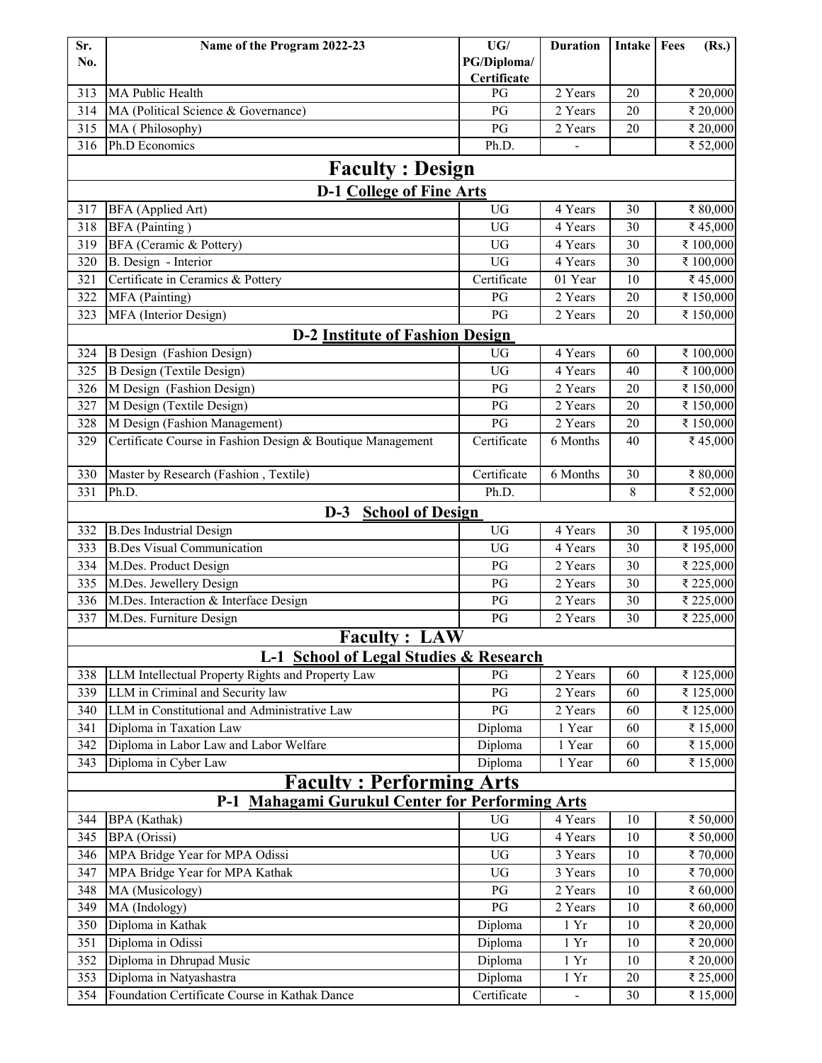| Sr.                                    | Name of the Program 2022-23                                 | UG/                    | <b>Duration</b>      | Intake | Fees<br>(Rs.)        |  |  |  |
|----------------------------------------|-------------------------------------------------------------|------------------------|----------------------|--------|----------------------|--|--|--|
| No.                                    |                                                             | PG/Diploma/            |                      |        |                      |  |  |  |
|                                        |                                                             | Certificate            |                      |        |                      |  |  |  |
| 313                                    | MA Public Health                                            | PG                     | 2 Years              | 20     | ₹ 20,000             |  |  |  |
| 314                                    | MA (Political Science & Governance)                         | PG                     | 2 Years<br>2 Years   | 20     | ₹ 20,000             |  |  |  |
| 315<br>316                             | MA (Philosophy)<br>Ph.D Economics                           | PG<br>Ph.D.            |                      | 20     | ₹ 20,000<br>₹ 52,000 |  |  |  |
|                                        |                                                             |                        |                      |        |                      |  |  |  |
|                                        | <b>Faculty : Design</b>                                     |                        |                      |        |                      |  |  |  |
|                                        | <b>D-1 College of Fine Arts</b>                             |                        |                      |        |                      |  |  |  |
| 317                                    | BFA (Applied Art)                                           | <b>UG</b>              | 4 Years              | 30     | ₹ 80,000             |  |  |  |
| 318                                    | BFA (Painting)                                              | <b>UG</b>              | 4 Years              | 30     | ₹45,000              |  |  |  |
| 319                                    | BFA (Ceramic & Pottery)                                     | <b>UG</b>              | 4 Years              | 30     | ₹ 100,000            |  |  |  |
| 320                                    | B. Design - Interior                                        | <b>UG</b>              | 4 Years              | 30     | ₹ 100,000            |  |  |  |
| 321                                    | Certificate in Ceramics & Pottery                           | Certificate            | 01 Year              | 10     | ₹45,000              |  |  |  |
| 322                                    | MFA (Painting)                                              | PG                     | 2 Years              | 20     | ₹ 150,000            |  |  |  |
| 323                                    | MFA (Interior Design)                                       | PG                     | 2 Years              | 20     | ₹ 150,000            |  |  |  |
| <b>D-2 Institute of Fashion Design</b> |                                                             |                        |                      |        |                      |  |  |  |
| 324                                    | B Design (Fashion Design)                                   | UG                     | 4 Years              | 60     | ₹ 100,000            |  |  |  |
| $\overline{325}$                       | <b>B</b> Design (Textile Design)                            | UG                     | 4 Years              | 40     | ₹ 100,000            |  |  |  |
| 326                                    | M Design (Fashion Design)                                   | PG                     | 2 Years              | 20     | ₹ 150,000            |  |  |  |
| 327                                    | M Design (Textile Design)                                   | PG                     | 2 Years              | 20     | ₹ 150,000            |  |  |  |
| 328                                    | M Design (Fashion Management)                               | PG                     | 2 Years              | 20     | ₹ 150,000            |  |  |  |
| 329                                    | Certificate Course in Fashion Design & Boutique Management  | Certificate            | 6 Months             | 40     | ₹45,000              |  |  |  |
|                                        |                                                             |                        |                      |        |                      |  |  |  |
| 330                                    | Master by Research (Fashion, Textile)                       | Certificate            | 6 Months             | 30     | ₹ 80,000             |  |  |  |
| 331                                    | Ph.D.                                                       | Ph.D.                  |                      | 8      | ₹ 52,000             |  |  |  |
|                                        | $D-3$<br><b>School of Design</b>                            |                        |                      |        |                      |  |  |  |
| 332                                    | <b>B.Des Industrial Design</b>                              | <b>UG</b>              | 4 Years              | 30     | ₹ 195,000            |  |  |  |
| 333                                    | <b>B.Des Visual Communication</b>                           | <b>UG</b>              | 4 Years              | 30     | ₹ 195,000            |  |  |  |
| 334                                    | M.Des. Product Design                                       | PG                     | 2 Years              | 30     | ₹ 225,000            |  |  |  |
| 335                                    | M.Des. Jewellery Design                                     | PG                     | 2 Years              | 30     | ₹ 225,000            |  |  |  |
| 336                                    | M.Des. Interaction & Interface Design                       | PG                     | 2 Years              | 30     | ₹ 225,000            |  |  |  |
| 337                                    | M.Des. Furniture Design                                     | PG                     | 2 Years              | 30     | ₹ 225,000            |  |  |  |
|                                        | <b>Faculty: LAW</b>                                         |                        |                      |        |                      |  |  |  |
|                                        | L-1 School of Legal Studies & Research                      |                        |                      |        |                      |  |  |  |
| 338                                    | LLM Intellectual Property Rights and Property Law           | PG                     | 2 Years              | 60     | ₹ 125,000            |  |  |  |
| 339                                    | LLM in Criminal and Security law                            | PG                     | 2 Years              | 60     | ₹125,000             |  |  |  |
| 340                                    | LLM in Constitutional and Administrative Law                | PG                     | 2 Years              | 60     | ₹125,000             |  |  |  |
| 341                                    | Diploma in Taxation Law                                     | Diploma                | 1 Year               | 60     | ₹ 15,000             |  |  |  |
| 342                                    | Diploma in Labor Law and Labor Welfare                      | Diploma                | 1 Year               | 60     | ₹ 15,000             |  |  |  |
| 343                                    | Diploma in Cyber Law                                        | Diploma                | 1 Year               | 60     | ₹ 15,000             |  |  |  |
|                                        | <u><b>Faculty: Performing Arts</b></u>                      |                        |                      |        |                      |  |  |  |
|                                        | <b>Mahagami Gurukul Center for Performing Arts</b><br>$P-1$ |                        |                      |        |                      |  |  |  |
| 344                                    | <b>BPA</b> (Kathak)                                         | <b>UG</b>              | 4 Years              | 10     | ₹ 50,000             |  |  |  |
| 345                                    | BPA (Orissi)                                                | UG                     | 4 Years              | 10     | ₹ 50,000             |  |  |  |
| 346                                    | MPA Bridge Year for MPA Odissi                              | <b>UG</b>              | 3 Years              | 10     | ₹70,000              |  |  |  |
| 347                                    | MPA Bridge Year for MPA Kathak                              | UG                     | 3 Years              | 10     | ₹70,000              |  |  |  |
| 348                                    | MA (Musicology)                                             | $\mathbf{P}\mathbf{G}$ | 2 Years              | 10     | ₹ 60,000             |  |  |  |
| 349                                    | MA (Indology)                                               | PG                     | $\overline{2}$ Years | 10     | ₹ 60,000             |  |  |  |
| 350                                    | Diploma in Kathak                                           | Diploma                | $1\ \mathrm{Yr}$     | 10     | ₹ 20,000             |  |  |  |
| 351                                    | Diploma in Odissi                                           | Diploma                | 1Yr                  | 10     | ₹ 20,000             |  |  |  |
| 352                                    | Diploma in Dhrupad Music                                    | Diploma                | $1\ \mathrm{Yr}$     | 10     | ₹ 20,000             |  |  |  |
| 353                                    | Diploma in Natyashastra                                     | Diploma                | $1 \,\mathrm{Yr}$    | 20     | ₹ 25,000             |  |  |  |
| 354                                    | Foundation Certificate Course in Kathak Dance               | Certificate            | $\blacksquare$       | 30     | ₹ 15,000             |  |  |  |